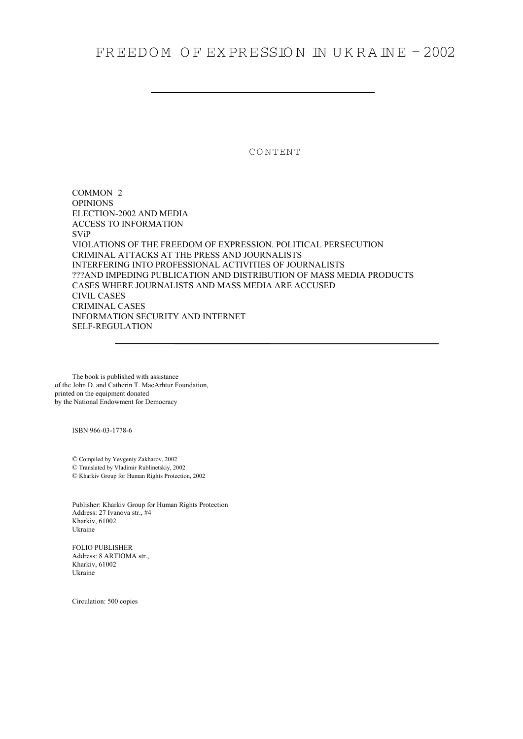# FREEDO M O F EX PR ESSIO N IN U K R A IN E – 2002

CONTENT

COMMON 2 OPINIONS ELECTION-2002 AND MEDIA ACCESS TO INFORMATION SViP VIOLATIONS OF THE FREEDOM OF EXPRESSION. POLITICAL PERSECUTION CRIMINAL ATTACKS AT THE PRESS AND JOURNALISTS INTERFERING INTO PROFESSIONAL ACTIVITIES OF JOURNALISTS ???AND IMPEDING PUBLICATION AND DISTRIBUTION OF MASS MEDIA PRODUCTS CASES WHERE JOURNALISTS AND MASS MEDIA ARE ACCUSED CIVIL CASES CRIMINAL CASES INFORMATION SECURITY AND INTERNET SELF-REGULATION

The book is published with assistance of the John D. and Catherin T. MacArhtur Foundation, printed on the equipment donated by the National Endowment for Democracy

ISBN 966-03-1778-6

© Compiled by Yevgeniy Zakharov, 2002 © Translated by Vladimir Rublinetskiy, 2002

© Kharkiv Group for Human Rights Protection, 2002

Publisher: Kharkiv Group for Human Rights Protection Address: 27 Ivanova str., #4 Kharkiv, 61002 Ukraine

FOLIO PUBLISHER Address: 8 ARTIOMA str., Kharkiv, 61002 Ukraine

Circulation: 500 copies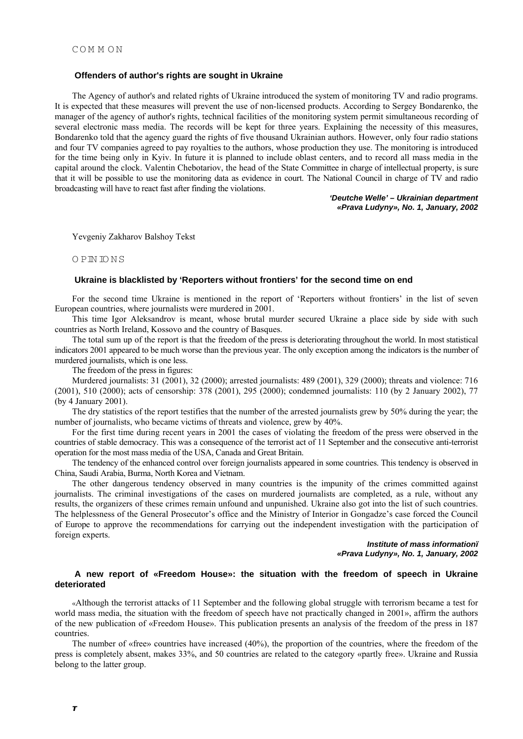# **Offenders of author's rights are sought in Ukraine**

The Agency of author's and related rights of Ukraine introduced the system of monitoring TV and radio programs. It is expected that these measures will prevent the use of non-licensed products. According to Sergey Bondarenko, the manager of the agency of author's rights, technical facilities of the monitoring system permit simultaneous recording of several electronic mass media. The records will be kept for three years. Explaining the necessity of this measures, Bondarenko told that the agency guard the rights of five thousand Ukrainian authors. However, only four radio stations and four TV companies agreed to pay royalties to the authors, whose production they use. The monitoring is introduced for the time being only in Kyiv. In future it is planned to include oblast centers, and to record all mass media in the capital around the clock. Valentin Chebotariov, the head of the State Committee in charge of intellectual property, is sure that it will be possible to use the monitoring data as evidence in court. The National Council in charge of TV and radio broadcasting will have to react fast after finding the violations.

> *'Deutche Welle' – Ukrainian department «Prava Ludyny», No. 1, January, 2002*

Yevgeniy Zakharov Balshoy Tekst

O PIN IO N S

### **Ukraine is blacklisted by 'Reporters without frontiers' for the second time on end**

For the second time Ukraine is mentioned in the report of 'Reporters without frontiers' in the list of seven European countries, where journalists were murdered in 2001.

This time Igor Aleksandrov is meant, whose brutal murder secured Ukraine a place side by side with such countries as North Ireland, Kossovo and the country of Basques.

The total sum up of the report is that the freedom of the press is deteriorating throughout the world. In most statistical indicators 2001 appeared to be much worse than the previous year. The only exception among the indicators is the number of murdered journalists, which is one less.

The freedom of the press in figures:

Murdered journalists: 31 (2001), 32 (2000); arrested journalists: 489 (2001), 329 (2000); threats and violence: 716 (2001), 510 (2000); acts of censorship: 378 (2001), 295 (2000); condemned journalists: 110 (by 2 January 2002), 77 (by 4 January 2001).

The dry statistics of the report testifies that the number of the arrested journalists grew by 50% during the year; the number of journalists, who became victims of threats and violence, grew by 40%.

For the first time during recent years in 2001 the cases of violating the freedom of the press were observed in the countries of stable democracy. This was a consequence of the terrorist act of 11 September and the consecutive anti-terrorist operation for the most mass media of the USA, Canada and Great Britain.

The tendency of the enhanced control over foreign journalists appeared in some countries. This tendency is observed in China, Saudi Arabia, Burma, North Korea and Vietnam.

The other dangerous tendency observed in many countries is the impunity of the crimes committed against journalists. The criminal investigations of the cases on murdered journalists are completed, as a rule, without any results, the organizers of these crimes remain unfound and unpunished. Ukraine also got into the list of such countries. The helplessness of the General Prosecutor's office and the Ministry of Interior in Gongadze's case forced the Council of Europe to approve the recommendations for carrying out the independent investigation with the participation of foreign experts.

### *Institute of mass informationi «Prava Ludyny», No. 1, January, 2002*

# **A new report of «Freedom House»: the situation with the freedom of speech in Ukraine deteriorated**

«Although the terrorist attacks of 11 September and the following global struggle with terrorism became a test for world mass media, the situation with the freedom of speech have not practically changed in 2001», affirm the authors of the new publication of «Freedom House». This publication presents an analysis of the freedom of the press in 187 countries.

The number of «free» countries have increased (40%), the proportion of the countries, where the freedom of the press is completely absent, makes 33%, and 50 countries are related to the category «partly free». Ukraine and Russia belong to the latter group.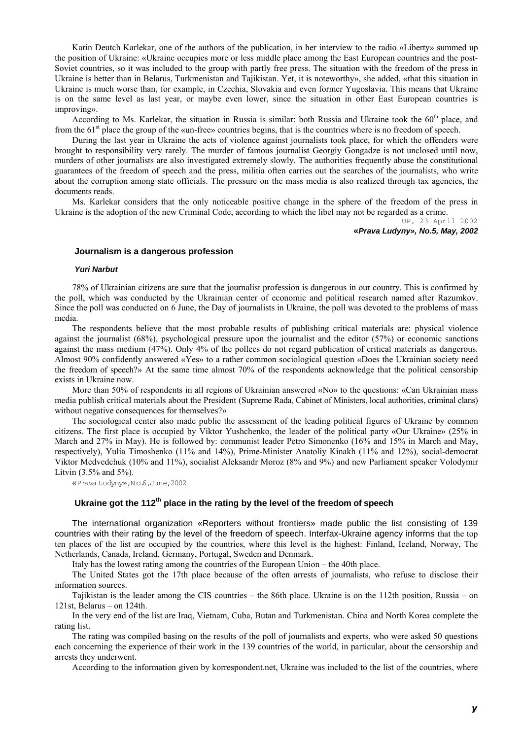Karin Deutch Karlekar, one of the authors of the publication, in her interview to the radio «Liberty» summed up the position of Ukraine: «Ukraine occupies more or less middle place among the East European countries and the post-Soviet countries, so it was included to the group with partly free press. The situation with the freedom of the press in Ukraine is better than in Belarus, Turkmenistan and Tajikistan. Yet, it is noteworthy», she added, «that this situation in Ukraine is much worse than, for example, in Czechia, Slovakia and even former Yugoslavia. This means that Ukraine is on the same level as last year, or maybe even lower, since the situation in other East European countries is improving».

According to Ms. Karlekar, the situation in Russia is similar: both Russia and Ukraine took the 60<sup>th</sup> place, and from the  $61<sup>st</sup>$  place the group of the «un-free» countries begins, that is the countries where is no freedom of speech.

During the last year in Ukraine the acts of violence against journalists took place, for which the offenders were brought to responsibility very rarely. The murder of famous journalist Georgiy Gongadze is not unclosed until now, murders of other journalists are also investigated extremely slowly. The authorities frequently abuse the constitutional guarantees of the freedom of speech and the press, militia often carries out the searches of the journalists, who write about the corruption among state officials. The pressure on the mass media is also realized through tax agencies, the documents reads.

Ms. Karlekar considers that the only noticeable positive change in the sphere of the freedom of the press in Ukraine is the adoption of the new Criminal Code, according to which the libel may not be regarded as a crime.

UP, 23 April 2002 **«***Prava Ludyny», No.5, May, 2002* 

#### **Journalism is a dangerous profession**

#### *Yuri Narbut*

78% of Ukrainian citizens are sure that the journalist profession is dangerous in our country. This is confirmed by the poll, which was conducted by the Ukrainian center of economic and political research named after Razumkov. Since the poll was conducted on 6 June, the Day of journalists in Ukraine, the poll was devoted to the problems of mass media.

The respondents believe that the most probable results of publishing critical materials are: physical violence against the journalist (68%), psychological pressure upon the journalist and the editor (57%) or economic sanctions against the mass medium (47%). Only 4% of the pollees do not regard publication of critical materials as dangerous. Almost 90% confidently answered «Yes» to a rather common sociological question «Does the Ukrainian society need the freedom of speech?» At the same time almost 70% of the respondents acknowledge that the political censorship exists in Ukraine now.

More than 50% of respondents in all regions of Ukrainian answered «No» to the questions: «Can Ukrainian mass media publish critical materials about the President (Supreme Rada, Cabinet of Ministers, local authorities, criminal clans) without negative consequences for themselves?»

The sociological center also made public the assessment of the leading political figures of Ukraine by common citizens. The first place is occupied by Viktor Yushchenko, the leader of the political party «Our Ukraine» (25% in March and 27% in May). He is followed by: communist leader Petro Simonenko (16% and 15% in March and May, respectively), Yulia Timoshenko (11% and 14%), Prime-Minister Anatoliy Kinakh (11% and 12%), social-democrat Viktor Medvedchuk (10% and 11%), socialist Aleksandr Moroz (8% and 9%) and new Parliament speaker Volodymir Litvin  $(3.5\% \text{ and } 5\%)$ .

«Prava Ludyny»,N o.6,June,2002

# **Ukraine got the 112th place in the rating by the level of the freedom of speech**

The international organization «Reporters without frontiers» made public the list consisting of 139 countries with their rating by the level of the freedom of speech. Interfax-Ukraine agency informs that the top ten places of the list are occupied by the countries, where this level is the highest: Finland, Iceland, Norway, The Netherlands, Canada, Ireland, Germany, Portugal, Sweden and Denmark.

Italy has the lowest rating among the countries of the European Union – the 40th place.

The United States got the 17th place because of the often arrests of journalists, who refuse to disclose their information sources.

Tajikistan is the leader among the CIS countries – the 86th place. Ukraine is on the 112th position, Russia – on 121st, Belarus – on 124th.

In the very end of the list are Iraq, Vietnam, Cuba, Butan and Turkmenistan. China and North Korea complete the rating list.

The rating was compiled basing on the results of the poll of journalists and experts, who were asked 50 questions each concerning the experience of their work in the 139 countries of the world, in particular, about the censorship and arrests they underwent.

According to the information given by korrespondent.net, Ukraine was included to the list of the countries, where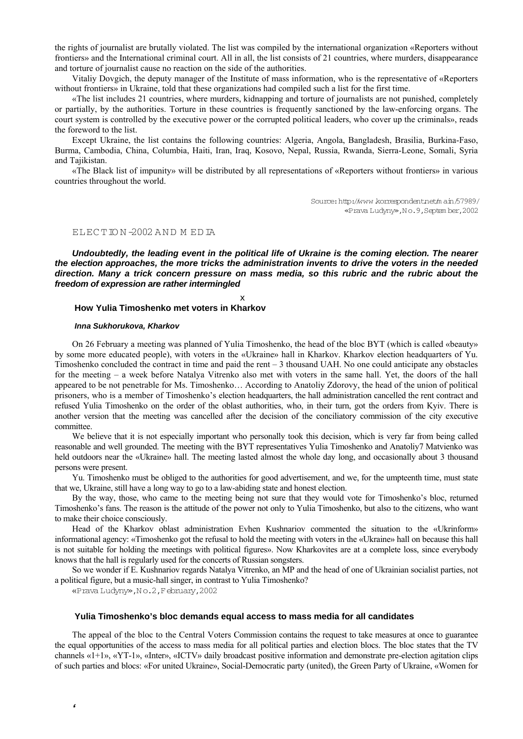the rights of journalist are brutally violated. The list was compiled by the international organization «Reporters without frontiers» and the International criminal court. All in all, the list consists of 21 countries, where murders, disappearance and torture of journalist cause no reaction on the side of the authorities.

Vitaliy Dovgich, the deputy manager of the Institute of mass information, who is the representative of «Reporters without frontiers» in Ukraine, told that these organizations had compiled such a list for the first time.

«The list includes 21 countries, where murders, kidnapping and torture of journalists are not punished, completely or partially, by the authorities. Torture in these countries is frequently sanctioned by the law-enforcing organs. The court system is controlled by the executive power or the corrupted political leaders, who cover up the criminals», reads the foreword to the list.

Except Ukraine, the list contains the following countries: Algeria, Angola, Bangladesh, Brasilia, Burkina-Faso, Burma, Cambodia, China, Columbia, Haiti, Iran, Iraq, Kosovo, Nepal, Russia, Rwanda, Sierra-Leone, Somali, Syria and Tajikistan.

«The Black list of impunity» will be distributed by all representations of «Reporters without frontiers» in various countries throughout the world.

> Source: http://www.korrespondent.net/m ain/57989/ «Prava Ludyny»,N o.9,Septem ber,2002

# ELEC TIO N -2002 AND M ED IA

*Undoubtedly, the leading event in the political life of Ukraine is the coming election. The nearer the election approaches, the more tricks the administration invents to drive the voters in the needed direction. Many a trick concern pressure on mass media, so this rubric and the rubric about the freedom of expression are rather intermingled*

.

# **How Yulia Timoshenko met voters in Kharkov**

#### *Inna Sukhorukova, Kharkov*

On 26 February a meeting was planned of Yulia Timoshenko, the head of the bloc BYT (which is called «beauty» by some more educated people), with voters in the «Ukraine» hall in Kharkov. Kharkov election headquarters of Yu. Timoshenko concluded the contract in time and paid the rent  $-3$  thousand UAH. No one could anticipate any obstacles for the meeting – a week before Natalya Vitrenko also met with voters in the same hall. Yet, the doors of the hall appeared to be not penetrable for Ms. Timoshenko… According to Anatoliy Zdorovy, the head of the union of political prisoners, who is a member of Timoshenko's election headquarters, the hall administration cancelled the rent contract and refused Yulia Timoshenko on the order of the oblast authorities, who, in their turn, got the orders from Kyiv. There is another version that the meeting was cancelled after the decision of the conciliatory commission of the city executive committee.

We believe that it is not especially important who personally took this decision, which is very far from being called reasonable and well grounded. The meeting with the BYT representatives Yulia Timoshenko and Anatoliy7 Matvienko was held outdoors near the «Ukraine» hall. The meeting lasted almost the whole day long, and occasionally about 3 thousand persons were present.

Yu. Timoshenko must be obliged to the authorities for good advertisement, and we, for the umpteenth time, must state that we, Ukraine, still have a long way to go to a law-abiding state and honest election.

By the way, those, who came to the meeting being not sure that they would vote for Timoshenko's bloc, returned Timoshenko's fans. The reason is the attitude of the power not only to Yulia Timoshenko, but also to the citizens, who want to make their choice consciously.

Head of the Kharkov oblast administration Evhen Kushnariov commented the situation to the «Ukrinform» informational agency: «Timoshenko got the refusal to hold the meeting with voters in the «Ukraine» hall on because this hall is not suitable for holding the meetings with political figures». Now Kharkovites are at a complete loss, since everybody knows that the hall is regularly used for the concerts of Russian songsters.

So we wonder if E. Kushnariov regards Natalya Vitrenko, an MP and the head of one of Ukrainian socialist parties, not a political figure, but a music-hall singer, in contrast to Yulia Timoshenko?

«Prava Ludyny»,N o.2,February,2002

*4*

#### **Yulia Timoshenko's bloc demands equal access to mass media for all candidates**

The appeal of the bloc to the Central Voters Commission contains the request to take measures at once to guarantee the equal opportunities of the access to mass media for all political parties and election blocs. The bloc states that the TV channels «1+1», «YT-1», «Inter», «ICTV» daily broadcast positive information and demonstrate pre-election agitation clips of such parties and blocs: «For united Ukraine», Social-Democratic party (united), the Green Party of Ukraine, «Women for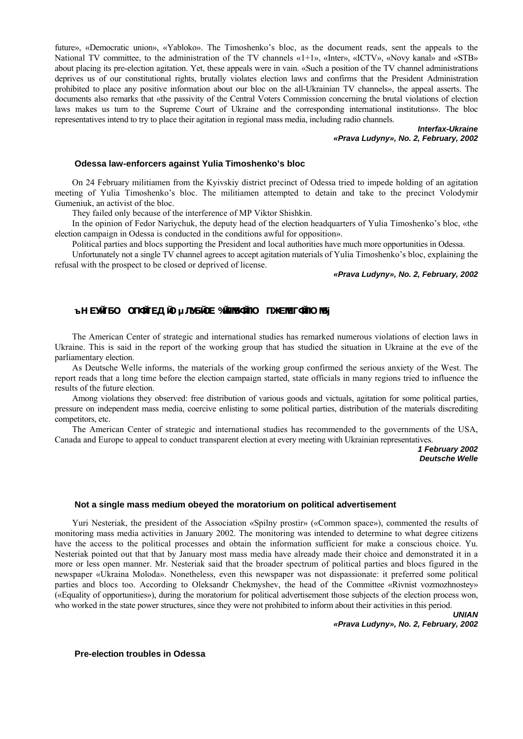future», «Democratic union», «Yabloko». The Timoshenko's bloc, as the document reads, sent the appeals to the National TV committee, to the administration of the TV channels «1+1», «Inter», «ICTV», «Novy kanal» and «STB» about placing its pre-election agitation. Yet, these appeals were in vain. «Such a position of the TV channel administrations deprives us of our constitutional rights, brutally violates election laws and confirms that the President Administration prohibited to place any positive information about our bloc on the all-Ukrainian TV channels», the appeal asserts. The documents also remarks that «the passivity of the Central Voters Commission concerning the brutal violations of election laws makes us turn to the Supreme Court of Ukraine and the corresponding international institutions». The bloc representatives intend to try to place their agitation in regional mass media, including radio channels.

> *Interfax-Ukraine «Prava Ludyny», No. 2, February, 2002*

#### **Odessa law-enforcers against Yulia Timoshenko's bloc**

On 24 February militiamen from the Kyivskiy district precinct of Odessa tried to impede holding of an agitation meeting of Yulia Timoshenko's bloc. The militiamen attempted to detain and take to the precinct Volodymir Gumeniuk, an activist of the bloc.

They failed only because of the interference of MP Viktor Shishkin.

In the opinion of Fedor Nariychuk, the deputy head of the election headquarters of Yulia Timoshenko's bloc, «the election campaign in Odessa is conducted in the conditions awful for opposition».

Political parties and blocs supporting the President and local authorities have much more opportunities in Odessa.

Unfortunately not a single TV channel agrees to accept agitation materials of Yulia Timoshenko's bloc, explaining the refusal with the prospect to be closed or deprived of license.

# *«Prava Ludyny», No. 2, February, 2002*

# **AM EXVITSO OTIONIELA IO µ JUSICE VININGUITO TIXEMET CITIONS**

The American Center of strategic and international studies has remarked numerous violations of election laws in Ukraine. This is said in the report of the working group that has studied the situation in Ukraine at the eve of the parliamentary election.

As Deutsche Welle informs, the materials of the working group confirmed the serious anxiety of the West. The report reads that a long time before the election campaign started, state officials in many regions tried to influence the results of the future election.

Among violations they observed: free distribution of various goods and victuals, agitation for some political parties, pressure on independent mass media, coercive enlisting to some political parties, distribution of the materials discrediting competitors, etc.

The American Center of strategic and international studies has recommended to the governments of the USA, Canada and Europe to appeal to conduct transparent election at every meeting with Ukrainian representatives.

> *1 February 2002 Deutsche Welle*

# **Not a single mass medium obeyed the moratorium on political advertisement**

Yuri Nesteriak, the president of the Association «Spilny prostir» («Common space»), commented the results of monitoring mass media activities in January 2002. The monitoring was intended to determine to what degree citizens have the access to the political processes and obtain the information sufficient for make a conscious choice. Yu. Nesteriak pointed out that that by January most mass media have already made their choice and demonstrated it in a more or less open manner. Mr. Nesteriak said that the broader spectrum of political parties and blocs figured in the newspaper «Ukraina Moloda». Nonetheless, even this newspaper was not dispassionate: it preferred some political parties and blocs too. According to Oleksandr Chekmyshev, the head of the Committee «Rivnist vozmozhnostey» («Equality of opportunities»), during the moratorium for political advertisement those subjects of the election process won, who worked in the state power structures, since they were not prohibited to inform about their activities in this period.

> *UNIAN «Prava Ludyny», No. 2, February, 2002*

**Pre-election troubles in Odessa**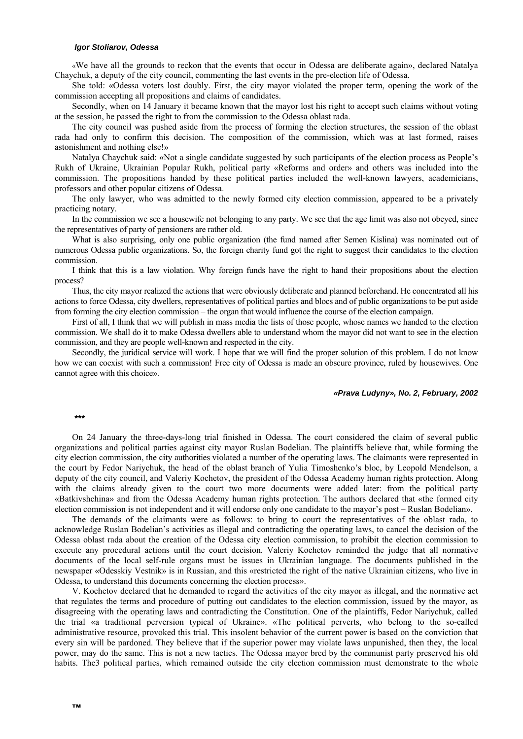#### *Igor Stoliarov, Odessa*

«We have all the grounds to reckon that the events that occur in Odessa are deliberate again», declared Natalya Chaychuk, a deputy of the city council, commenting the last events in the pre-election life of Odessa.

She told: «Odessa voters lost doubly. First, the city mayor violated the proper term, opening the work of the commission accepting all propositions and claims of candidates.

Secondly, when on 14 January it became known that the mayor lost his right to accept such claims without voting at the session, he passed the right to from the commission to the Odessa oblast rada.

The city council was pushed aside from the process of forming the election structures, the session of the oblast rada had only to confirm this decision. The composition of the commission, which was at last formed, raises astonishment and nothing else!»

Natalya Chaychuk said: «Not a single candidate suggested by such participants of the election process as People's Rukh of Ukraine, Ukrainian Popular Rukh, political party «Reforms and order» and others was included into the commission. The propositions handed by these political parties included the well-known lawyers, academicians, professors and other popular citizens of Odessa.

The only lawyer, who was admitted to the newly formed city election commission, appeared to be a privately practicing notary.

In the commission we see a housewife not belonging to any party. We see that the age limit was also not obeyed, since the representatives of party of pensioners are rather old.

What is also surprising, only one public organization (the fund named after Semen Kislina) was nominated out of numerous Odessa public organizations. So, the foreign charity fund got the right to suggest their candidates to the election commission.

I think that this is a law violation. Why foreign funds have the right to hand their propositions about the election process?

Thus, the city mayor realized the actions that were obviously deliberate and planned beforehand. He concentrated all his actions to force Odessa, city dwellers, representatives of political parties and blocs and of public organizations to be put aside from forming the city election commission – the organ that would influence the course of the election campaign.

First of all, I think that we will publish in mass media the lists of those people, whose names we handed to the election commission. We shall do it to make Odessa dwellers able to understand whom the mayor did not want to see in the election commission, and they are people well-known and respected in the city.

Secondly, the juridical service will work. I hope that we will find the proper solution of this problem. I do not know how we can coexist with such a commission! Free city of Odessa is made an obscure province, ruled by housewives. One cannot agree with this choice».

#### *«Prava Ludyny», No. 2, February, 2002*

**\*\*\***

On 24 January the three-days-long trial finished in Odessa. The court considered the claim of several public organizations and political parties against city mayor Ruslan Bodelian. The plaintiffs believe that, while forming the city election commission, the city authorities violated a number of the operating laws. The claimants were represented in the court by Fedor Nariychuk, the head of the oblast branch of Yulia Timoshenko's bloc, by Leopold Mendelson, a deputy of the city council, and Valeriy Kochetov, the president of the Odessa Academy human rights protection. Along with the claims already given to the court two more documents were added later: from the political party «Batkivshchina» and from the Odessa Academy human rights protection. The authors declared that «the formed city election commission is not independent and it will endorse only one candidate to the mayor's post – Ruslan Bodelian».

The demands of the claimants were as follows: to bring to court the representatives of the oblast rada, to acknowledge Ruslan Bodelian's activities as illegal and contradicting the operating laws, to cancel the decision of the Odessa oblast rada about the creation of the Odessa city election commission, to prohibit the election commission to execute any procedural actions until the court decision. Valeriy Kochetov reminded the judge that all normative documents of the local self-rule organs must be issues in Ukrainian language. The documents published in the newspaper «Odesskiy Vestnik» is in Russian, and this «restricted the right of the native Ukrainian citizens, who live in Odessa, to understand this documents concerning the election process».

V. Kochetov declared that he demanded to regard the activities of the city mayor as illegal, and the normative act that regulates the terms and procedure of putting out candidates to the election commission, issued by the mayor, as disagreeing with the operating laws and contradicting the Constitution. One of the plaintiffs, Fedor Nariychuk, called the trial «a traditional perversion typical of Ukraine». «The political perverts, who belong to the so-called administrative resource, provoked this trial. This insolent behavior of the current power is based on the conviction that every sin will be pardoned. They believe that if the superior power may violate laws unpunished, then they, the local power, may do the same. This is not a new tactics. The Odessa mayor bred by the communist party preserved his old habits. The3 political parties, which remained outside the city election commission must demonstrate to the whole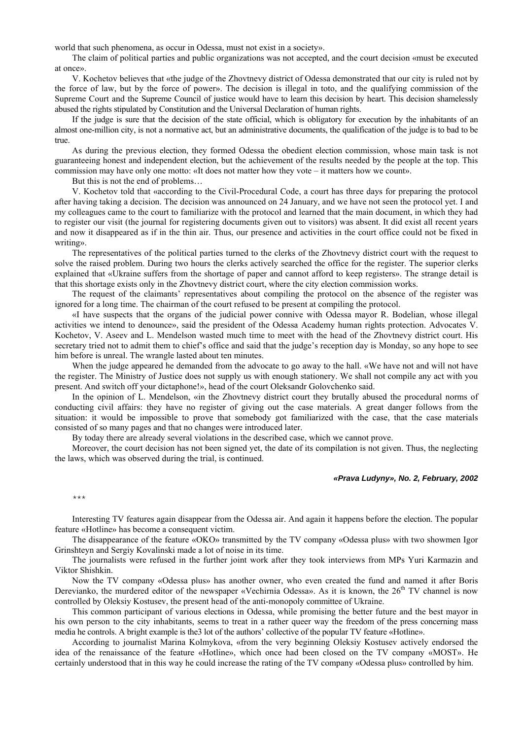world that such phenomena, as occur in Odessa, must not exist in a society».

The claim of political parties and public organizations was not accepted, and the court decision «must be executed at once».

V. Kochetov believes that «the judge of the Zhovtnevy district of Odessa demonstrated that our city is ruled not by the force of law, but by the force of power». The decision is illegal in toto, and the qualifying commission of the Supreme Court and the Supreme Council of justice would have to learn this decision by heart. This decision shamelessly abused the rights stipulated by Constitution and the Universal Declaration of human rights.

If the judge is sure that the decision of the state official, which is obligatory for execution by the inhabitants of an almost one-million city, is not a normative act, but an administrative documents, the qualification of the judge is to bad to be true.

As during the previous election, they formed Odessa the obedient election commission, whose main task is not guaranteeing honest and independent election, but the achievement of the results needed by the people at the top. This commission may have only one motto: «It does not matter how they vote – it matters how we count».

But this is not the end of problems…

V. Kochetov told that «according to the Civil-Procedural Code, a court has three days for preparing the protocol after having taking a decision. The decision was announced on 24 January, and we have not seen the protocol yet. I and my colleagues came to the court to familiarize with the protocol and learned that the main document, in which they had to register our visit (the journal for registering documents given out to visitors) was absent. It did exist all recent years and now it disappeared as if in the thin air. Thus, our presence and activities in the court office could not be fixed in writing».

The representatives of the political parties turned to the clerks of the Zhovtnevy district court with the request to solve the raised problem. During two hours the clerks actively searched the office for the register. The superior clerks explained that «Ukraine suffers from the shortage of paper and cannot afford to keep registers». The strange detail is that this shortage exists only in the Zhovtnevy district court, where the city election commission works.

The request of the claimants' representatives about compiling the protocol on the absence of the register was ignored for a long time. The chairman of the court refused to be present at compiling the protocol.

«I have suspects that the organs of the judicial power connive with Odessa mayor R. Bodelian, whose illegal activities we intend to denounce», said the president of the Odessa Academy human rights protection. Advocates V. Kochetov, V. Aseev and L. Mendelson wasted much time to meet with the head of the Zhovtnevy district court. His secretary tried not to admit them to chief's office and said that the judge's reception day is Monday, so any hope to see him before is unreal. The wrangle lasted about ten minutes.

When the judge appeared he demanded from the advocate to go away to the hall. «We have not and will not have the register. The Ministry of Justice does not supply us with enough stationery. We shall not compile any act with you present. And switch off your dictaphone!», head of the court Oleksandr Golovchenko said.

In the opinion of L. Mendelson, «in the Zhovtnevy district court they brutally abused the procedural norms of conducting civil affairs: they have no register of giving out the case materials. A great danger follows from the situation: it would be impossible to prove that somebody got familiarized with the case, that the case materials consisted of so many pages and that no changes were introduced later.

By today there are already several violations in the described case, which we cannot prove.

Moreover, the court decision has not been signed yet, the date of its compilation is not given. Thus, the neglecting the laws, which was observed during the trial, is continued.

### *«Prava Ludyny», No. 2, February, 2002*

\*\*\*

Interesting TV features again disappear from the Odessa air. And again it happens before the election. The popular feature «Hotline» has become a consequent victim.

The disappearance of the feature «OKO» transmitted by the TV company «Odessa plus» with two showmen Igor Grinshteyn and Sergiy Kovalinski made a lot of noise in its time.

The journalists were refused in the further joint work after they took interviews from MPs Yuri Karmazin and Viktor Shishkin.

Now the TV company «Odessa plus» has another owner, who even created the fund and named it after Boris Derevianko, the murdered editor of the newspaper «Vechirnia Odessa». As it is known, the  $26<sup>th</sup>$  TV channel is now controlled by Oleksiy Kostusev, the present head of the anti-monopoly committee of Ukraine.

This common participant of various elections in Odessa, while promising the better future and the best mayor in his own person to the city inhabitants, seems to treat in a rather queer way the freedom of the press concerning mass media he controls. A bright example is the3 lot of the authors' collective of the popular TV feature «Hotline».

According to journalist Marina Kolmykova, «from the very beginning Oleksiy Kostusev actively endorsed the idea of the renaissance of the feature «Hotline», which once had been closed on the TV company «MOST». He certainly understood that in this way he could increase the rating of the TV company «Odessa plus» controlled by him.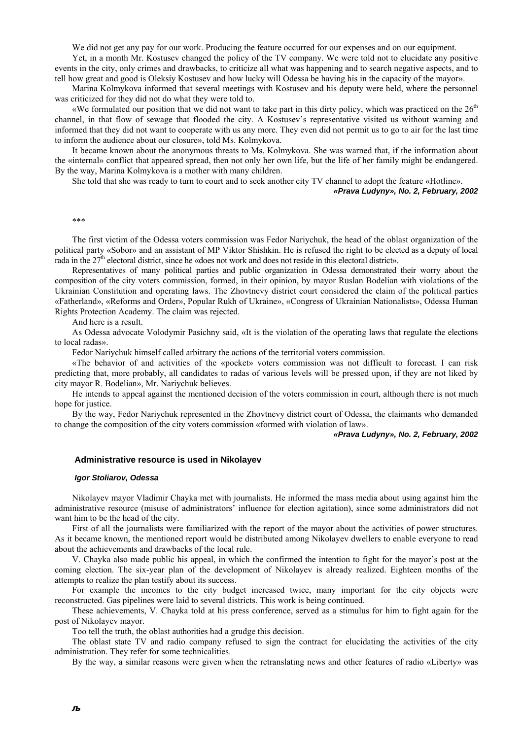We did not get any pay for our work. Producing the feature occurred for our expenses and on our equipment.

Yet, in a month Mr. Kostusev changed the policy of the TV company. We were told not to elucidate any positive events in the city, only crimes and drawbacks, to criticize all what was happening and to search negative aspects, and to tell how great and good is Oleksiy Kostusev and how lucky will Odessa be having his in the capacity of the mayor».

Marina Kolmykova informed that several meetings with Kostusev and his deputy were held, where the personnel was criticized for they did not do what they were told to.

«We formulated our position that we did not want to take part in this dirty policy, which was practiced on the  $26<sup>th</sup>$ channel, in that flow of sewage that flooded the city. A Kostusev's representative visited us without warning and informed that they did not want to cooperate with us any more. They even did not permit us to go to air for the last time to inform the audience about our closure», told Ms. Kolmykova.

It became known about the anonymous threats to Ms. Kolmykova. She was warned that, if the information about the «internal» conflict that appeared spread, then not only her own life, but the life of her family might be endangered. By the way, Marina Kolmykova is a mother with many children.

She told that she was ready to turn to court and to seek another city TV channel to adopt the feature «Hotline».

# *«Prava Ludyny», No. 2, February, 2002*

\*\*\*

The first victim of the Odessa voters commission was Fedor Nariychuk, the head of the oblast organization of the political party «Sobor» and an assistant of MP Viktor Shishkin. He is refused the right to be elected as a deputy of local rada in the 27<sup>th</sup> electoral district, since he «does not work and does not reside in this electoral district».

Representatives of many political parties and public organization in Odessa demonstrated their worry about the composition of the city voters commission, formed, in their opinion, by mayor Ruslan Bodelian with violations of the Ukrainian Constitution and operating laws. The Zhovtnevy district court considered the claim of the political parties «Fatherland», «Reforms and Order», Popular Rukh of Ukraine», «Congress of Ukrainian Nationalists», Odessa Human Rights Protection Academy. The claim was rejected.

And here is a result.

As Odessa advocate Volodymir Pasichny said, «It is the violation of the operating laws that regulate the elections to local radas».

Fedor Nariychuk himself called arbitrary the actions of the territorial voters commission.

«The behavior of and activities of the «pocket» voters commission was not difficult to forecast. I can risk predicting that, more probably, all candidates to radas of various levels will be pressed upon, if they are not liked by city mayor R. Bodelian», Mr. Nariychuk believes.

He intends to appeal against the mentioned decision of the voters commission in court, although there is not much hope for justice.

By the way, Fedor Nariychuk represented in the Zhovtnevy district court of Odessa, the claimants who demanded to change the composition of the city voters commission «formed with violation of law».

#### *«Prava Ludyny», No. 2, February, 2002*

### **Administrative resource is used in Nikolayev**

#### *Igor Stoliarov, Odessa*

Nikolayev mayor Vladimir Chayka met with journalists. He informed the mass media about using against him the administrative resource (misuse of administrators' influence for election agitation), since some administrators did not want him to be the head of the city.

First of all the journalists were familiarized with the report of the mayor about the activities of power structures. As it became known, the mentioned report would be distributed among Nikolayev dwellers to enable everyone to read about the achievements and drawbacks of the local rule.

V. Chayka also made public his appeal, in which the confirmed the intention to fight for the mayor's post at the coming election. The six-year plan of the development of Nikolayev is already realized. Eighteen months of the attempts to realize the plan testify about its success.

For example the incomes to the city budget increased twice, many important for the city objects were reconstructed. Gas pipelines were laid to several districts. This work is being continued.

These achievements, V. Chayka told at his press conference, served as a stimulus for him to fight again for the post of Nikolayev mayor.

Too tell the truth, the oblast authorities had a grudge this decision.

The oblast state TV and radio company refused to sign the contract for elucidating the activities of the city administration. They refer for some technicalities.

By the way, a similar reasons were given when the retranslating news and other features of radio «Liberty» was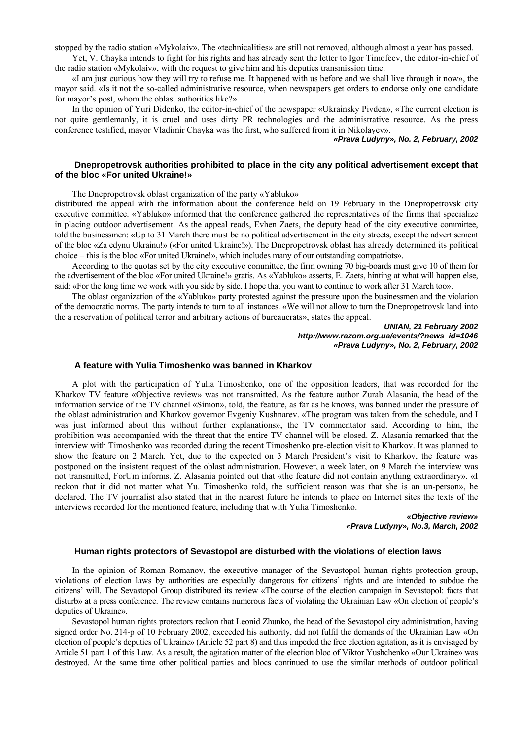stopped by the radio station «Mykolaiv». The «technicalities» are still not removed, although almost a year has passed. Yet, V. Chayka intends to fight for his rights and has already sent the letter to Igor Timofeev, the editor-in-chief of

the radio station «Mykolaiv», with the request to give him and his deputies transmission time.

«I am just curious how they will try to refuse me. It happened with us before and we shall live through it now», the mayor said. «Is it not the so-called administrative resource, when newspapers get orders to endorse only one candidate for mayor's post, whom the oblast authorities like?»

In the opinion of Yuri Didenko, the editor-in-chief of the newspaper «Ukrainsky Pivden», «The current election is not quite gentlemanly, it is cruel and uses dirty PR technologies and the administrative resource. As the press conference testified, mayor Vladimir Chayka was the first, who suffered from it in Nikolayev».

### *«Prava Ludyny», No. 2, February, 2002*

# **Dnepropetrovsk authorities prohibited to place in the city any political advertisement except that of the bloc «For united Ukraine!»**

The Dnepropetrovsk oblast organization of the party «Yabluko»

distributed the appeal with the information about the conference held on 19 February in the Dnepropetrovsk city executive committee. «Yabluko» informed that the conference gathered the representatives of the firms that specialize in placing outdoor advertisement. As the appeal reads, Evhen Zaets, the deputy head of the city executive committee, told the businessmen: «Up to 31 March there must be no political advertisement in the city streets, except the advertisement of the bloc «Za edynu Ukrainu!» («For united Ukraine!»). The Dnepropetrovsk oblast has already determined its political choice – this is the bloc «For united Ukraine!», which includes many of our outstanding compatriots».

According to the quotas set by the city executive committee, the firm owning 70 big-boards must give 10 of them for the advertisement of the bloc «For united Ukraine!» gratis. As «Yabluko» asserts, E. Zaets, hinting at what will happen else, said: «For the long time we work with you side by side. I hope that you want to continue to work after 31 March too».

The oblast organization of the «Yabluko» party protested against the pressure upon the businessmen and the violation of the democratic norms. The party intends to turn to all instances. «We will not allow to turn the Dnepropetrovsk land into the a reservation of political terror and arbitrary actions of bureaucrats», states the appeal.

### *UNIAN, 21 February 2002 http://www.razom.org.ua/events/?news\_id=1046 «Prava Ludyny», No. 2, February, 2002*

# **A feature with Yulia Timoshenko was banned in Kharkov**

A plot with the participation of Yulia Timoshenko, one of the opposition leaders, that was recorded for the Kharkov TV feature «Objective review» was not transmitted. As the feature author Zurab Alasania, the head of the information service of the TV channel «Simon», told, the feature, as far as he knows, was banned under the pressure of the oblast administration and Kharkov governor Evgeniy Kushnarev. «The program was taken from the schedule, and I was just informed about this without further explanations», the TV commentator said. According to him, the prohibition was accompanied with the threat that the entire TV channel will be closed. Z. Alasania remarked that the interview with Timoshenko was recorded during the recent Timoshenko pre-election visit to Kharkov. It was planned to show the feature on 2 March. Yet, due to the expected on 3 March President's visit to Kharkov, the feature was postponed on the insistent request of the oblast administration. However, a week later, on 9 March the interview was not transmitted, ForUm informs. Z. Alasania pointed out that «the feature did not contain anything extraordinary». «I reckon that it did not matter what Yu. Timoshenko told, the sufficient reason was that she is an un-person», he declared. The TV journalist also stated that in the nearest future he intends to place on Internet sites the texts of the interviews recorded for the mentioned feature, including that with Yulia Timoshenko.

> *«Objective review» «Prava Ludyny», No.3, March, 2002*

### **Human rights protectors of Sevastopol are disturbed with the violations of election laws**

In the opinion of Roman Romanov, the executive manager of the Sevastopol human rights protection group, violations of election laws by authorities are especially dangerous for citizens' rights and are intended to subdue the citizens' will. The Sevastopol Group distributed its review «The course of the election campaign in Sevastopol: facts that disturb» at a press conference. The review contains numerous facts of violating the Ukrainian Law «On election of people's deputies of Ukraine».

Sevastopol human rights protectors reckon that Leonid Zhunko, the head of the Sevastopol city administration, having signed order No. 214-p of 10 February 2002, exceeded his authority, did not fulfil the demands of the Ukrainian Law «On election of people's deputies of Ukraine» (Article 52 part 8) and thus impeded the free election agitation, as it is envisaged by Article 51 part 1 of this Law. As a result, the agitation matter of the election bloc of Viktor Yushchenko «Our Ukraine» was destroyed. At the same time other political parties and blocs continued to use the similar methods of outdoor political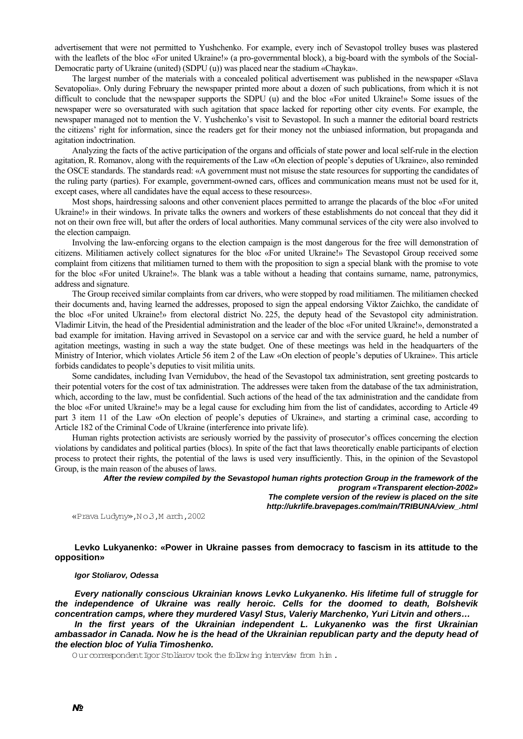advertisement that were not permitted to Yushchenko. For example, every inch of Sevastopol trolley buses was plastered with the leaflets of the bloc «For united Ukraine!» (a pro-governmental block), a big-board with the symbols of the Social-Democratic party of Ukraine (united) (SDPU (u)) was placed near the stadium «Chayka».

The largest number of the materials with a concealed political advertisement was published in the newspaper «Slava Sevatopolia». Only during February the newspaper printed more about a dozen of such publications, from which it is not difficult to conclude that the newspaper supports the SDPU (u) and the bloc «For united Ukraine!» Some issues of the newspaper were so oversaturated with such agitation that space lacked for reporting other city events. For example, the newspaper managed not to mention the V. Yushchenko's visit to Sevastopol. In such a manner the editorial board restricts the citizens' right for information, since the readers get for their money not the unbiased information, but propaganda and agitation indoctrination.

Analyzing the facts of the active participation of the organs and officials of state power and local self-rule in the election agitation, R. Romanov, along with the requirements of the Law «On election of people's deputies of Ukraine», also reminded the OSCE standards. The standards read: «A government must not misuse the state resources for supporting the candidates of the ruling party (parties). For example, government-owned cars, offices and communication means must not be used for it, except cases, where all candidates have the equal access to these resources».

Most shops, hairdressing saloons and other convenient places permitted to arrange the placards of the bloc «For united Ukraine!» in their windows. In private talks the owners and workers of these establishments do not conceal that they did it not on their own free will, but after the orders of local authorities. Many communal services of the city were also involved to the election campaign.

Involving the law-enforcing organs to the election campaign is the most dangerous for the free will demonstration of citizens. Militiamen actively collect signatures for the bloc «For united Ukraine!» The Sevastopol Group received some complaint from citizens that militiamen turned to them with the proposition to sign a special blank with the promise to vote for the bloc «For united Ukraine!». The blank was a table without a heading that contains surname, name, patronymics, address and signature.

The Group received similar complaints from car drivers, who were stopped by road militiamen. The militiamen checked their documents and, having learned the addresses, proposed to sign the appeal endorsing Viktor Zaichko, the candidate of the bloc «For united Ukraine!» from electoral district No. 225, the deputy head of the Sevastopol city administration. Vladimir Litvin, the head of the Presidential administration and the leader of the bloc «For united Ukraine!», demonstrated a bad example for imitation. Having arrived in Sevastopol on a service car and with the service guard, he held a number of agitation meetings, wasting in such a way the state budget. One of these meetings was held in the headquarters of the Ministry of Interior, which violates Article 56 item 2 of the Law «On election of people's deputies of Ukraine». This article forbids candidates to people's deputies to visit militia units.

Some candidates, including Ivan Vernidubov, the head of the Sevastopol tax administration, sent greeting postcards to their potential voters for the cost of tax administration. The addresses were taken from the database of the tax administration, which, according to the law, must be confidential. Such actions of the head of the tax administration and the candidate from the bloc «For united Ukraine!» may be a legal cause for excluding him from the list of candidates, according to Article 49 part 3 item 11 of the Law «On election of people's deputies of Ukraine», and starting a criminal case, according to Article 182 of the Criminal Code of Ukraine (interference into private life).

Human rights protection activists are seriously worried by the passivity of prosecutor's offices concerning the election violations by candidates and political parties (blocs). In spite of the fact that laws theoretically enable participants of election process to protect their rights, the potential of the laws is used very insufficiently. This, in the opinion of the Sevastopol Group, is the main reason of the abuses of laws.

> *After the review compiled by the Sevastopol human rights protection Group in the framework of the program «Transparent election-2002» The complete version of the review is placed on the site http://ukrlife.bravepages.com/main/TRIBUNA/view\_.html*

«Prava Ludyny»,N o.3,M arch,2002

**Levko Lukyanenko: «Power in Ukraine passes from democracy to fascism in its attitude to the opposition»**

#### *Igor Stoliarov, Odessa*

*Every nationally conscious Ukrainian knows Levko Lukyanenko. His lifetime full of struggle for the independence of Ukraine was really heroic. Cells for the doomed to death, Bolshevik concentration camps, where they murdered Vasyl Stus, Valeriy Marchenko, Yuri Litvin and others…* 

*In the first years of the Ukrainian independent L. Lukyanenko was the first Ukrainian ambassador in Canada. Now he is the head of the Ukrainian republican party and the deputy head of the election bloc of Yulia Timoshenko.* 

Our correspondent Igor Stoliarov took the following interview from him.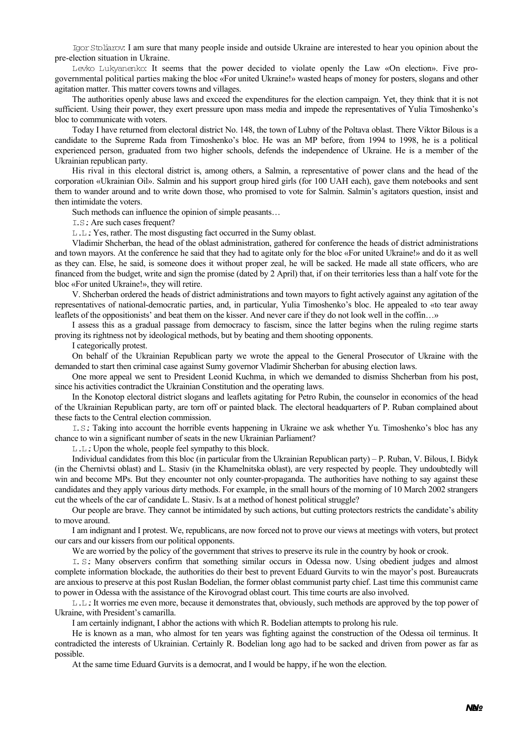Igor Stoliarov: I am sure that many people inside and outside Ukraine are interested to hear you opinion about the pre-election situation in Ukraine.

Levko Lukyanenko: It seems that the power decided to violate openly the Law «On election». Five progovernmental political parties making the bloc «For united Ukraine!» wasted heaps of money for posters, slogans and other agitation matter. This matter covers towns and villages.

The authorities openly abuse laws and exceed the expenditures for the election campaign. Yet, they think that it is not sufficient. Using their power, they exert pressure upon mass media and impede the representatives of Yulia Timoshenko's bloc to communicate with voters.

Today I have returned from electoral district No. 148, the town of Lubny of the Poltava oblast. There Viktor Bilous is a candidate to the Supreme Rada from Timoshenko's bloc. He was an MP before, from 1994 to 1998, he is a political experienced person, graduated from two higher schools, defends the independence of Ukraine. He is a member of the Ukrainian republican party.

His rival in this electoral district is, among others, a Salmin, a representative of power clans and the head of the corporation «Ukrainian Oil». Salmin and his support group hired girls (for 100 UAH each), gave them notebooks and sent them to wander around and to write down those, who promised to vote for Salmin. Salmin's agitators question, insist and then intimidate the voters.

Such methods can influence the opinion of simple peasants…

I.S.: Are such cases frequent?

L.L.: Yes, rather. The most disgusting fact occurred in the Sumy oblast.

Vladimir Shcherban, the head of the oblast administration, gathered for conference the heads of district administrations and town mayors. At the conference he said that they had to agitate only for the bloc «For united Ukraine!» and do it as well as they can. Else, he said, is someone does it without proper zeal, he will be sacked. He made all state officers, who are financed from the budget, write and sign the promise (dated by 2 April) that, if on their territories less than a half vote for the bloc «For united Ukraine!», they will retire.

V. Shcherban ordered the heads of district administrations and town mayors to fight actively against any agitation of the representatives of national-democratic parties, and, in particular, Yulia Timoshenko's bloc. He appealed to «to tear away leaflets of the oppositionists' and beat them on the kisser. And never care if they do not look well in the coffin…»

I assess this as a gradual passage from democracy to fascism, since the latter begins when the ruling regime starts proving its rightness not by ideological methods, but by beating and them shooting opponents.

I categorically protest.

On behalf of the Ukrainian Republican party we wrote the appeal to the General Prosecutor of Ukraine with the demanded to start then criminal case against Sumy governor Vladimir Shcherban for abusing election laws.

One more appeal we sent to President Leonid Kuchma, in which we demanded to dismiss Shcherban from his post, since his activities contradict the Ukrainian Constitution and the operating laws.

In the Konotop electoral district slogans and leaflets agitating for Petro Rubin, the counselor in economics of the head of the Ukrainian Republican party, are torn off or painted black. The electoral headquarters of P. Ruban complained about these facts to the Central election commission.

I.S.: Taking into account the horrible events happening in Ukraine we ask whether Yu. Timoshenko's bloc has any chance to win a significant number of seats in the new Ukrainian Parliament?

L.L.: Upon the whole, people feel sympathy to this block.

Individual candidates from this bloc (in particular from the Ukrainian Republican party) – P. Ruban, V. Bilous, I. Bidyk (in the Chernivtsi oblast) and L. Stasiv (in the Khamelnitska oblast), are very respected by people. They undoubtedly will win and become MPs. But they encounter not only counter-propaganda. The authorities have nothing to say against these candidates and they apply various dirty methods. For example, in the small hours of the morning of 10 March 2002 strangers cut the wheels of the car of candidate L. Stasiv. Is at a method of honest political struggle?

Our people are brave. They cannot be intimidated by such actions, but cutting protectors restricts the candidate's ability to move around.

I am indignant and I protest. We, republicans, are now forced not to prove our views at meetings with voters, but protect our cars and our kissers from our political opponents.

We are worried by the policy of the government that strives to preserve its rule in the country by hook or crook.

I. S.: Many observers confirm that something similar occurs in Odessa now. Using obedient judges and almost complete information blockade, the authorities do their best to prevent Eduard Gurvits to win the mayor's post. Bureaucrats are anxious to preserve at this post Ruslan Bodelian, the former oblast communist party chief. Last time this communist came to power in Odessa with the assistance of the Kirovograd oblast court. This time courts are also involved.

L.L.: It worries me even more, because it demonstrates that, obviously, such methods are approved by the top power of Ukraine, with President's camarilla.

I am certainly indignant, I abhor the actions with which R. Bodelian attempts to prolong his rule.

He is known as a man, who almost for ten years was fighting against the construction of the Odessa oil terminus. It contradicted the interests of Ukrainian. Certainly R. Bodelian long ago had to be sacked and driven from power as far as possible.

At the same time Eduard Gurvits is a democrat, and I would be happy, if he won the election.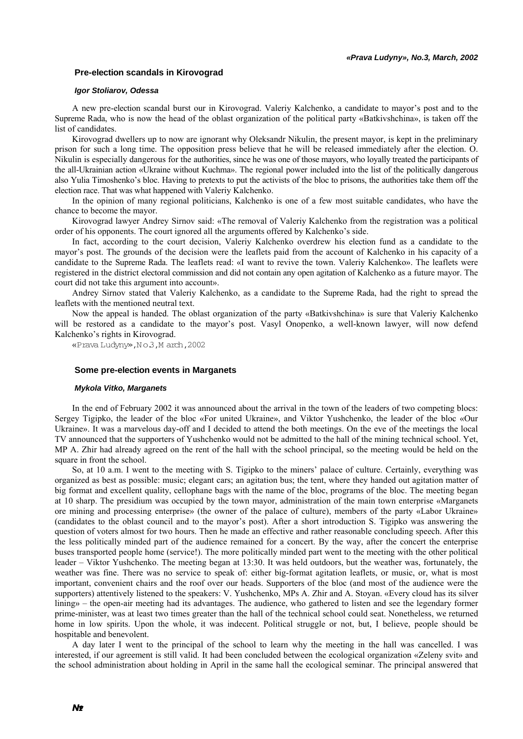# **Pre-election scandals in Kirovograd**

### *Igor Stoliarov, Odessa*

A new pre-election scandal burst our in Kirovograd. Valeriy Kalchenko, a candidate to mayor's post and to the Supreme Rada, who is now the head of the oblast organization of the political party «Batkivshchina», is taken off the list of candidates.

Kirovograd dwellers up to now are ignorant why Oleksandr Nikulin, the present mayor, is kept in the preliminary prison for such a long time. The opposition press believe that he will be released immediately after the election. O. Nikulin is especially dangerous for the authorities, since he was one of those mayors, who loyally treated the participants of the all-Ukrainian action «Ukraine without Kuchma». The regional power included into the list of the politically dangerous also Yulia Timoshenko's bloc. Having to pretexts to put the activists of the bloc to prisons, the authorities take them off the election race. That was what happened with Valeriy Kalchenko.

In the opinion of many regional politicians, Kalchenko is one of a few most suitable candidates, who have the chance to become the mayor.

Kirovograd lawyer Andrey Sirnov said: «The removal of Valeriy Kalchenko from the registration was a political order of his opponents. The court ignored all the arguments offered by Kalchenko's side.

In fact, according to the court decision, Valeriy Kalchenko overdrew his election fund as a candidate to the mayor's post. The grounds of the decision were the leaflets paid from the account of Kalchenko in his capacity of a candidate to the Supreme Rada. The leaflets read: «I want to revive the town. Valeriy Kalchenko». The leaflets were registered in the district electoral commission and did not contain any open agitation of Kalchenko as a future mayor. The court did not take this argument into account».

Andrey Sirnov stated that Valeriy Kalchenko, as a candidate to the Supreme Rada, had the right to spread the leaflets with the mentioned neutral text.

Now the appeal is handed. The oblast organization of the party «Batkivshchina» is sure that Valeriy Kalchenko will be restored as a candidate to the mayor's post. Vasyl Onopenko, a well-known lawyer, will now defend Kalchenko's rights in Kirovograd.

«Prava Ludyny»,N o.3,M arch,2002

# **Some pre-election events in Marganets**

#### *Mykola Vitko, Marganets*

In the end of February 2002 it was announced about the arrival in the town of the leaders of two competing blocs: Sergey Tigipko, the leader of the bloc «For united Ukraine», and Viktor Yushchenko, the leader of the bloc «Our Ukraine». It was a marvelous day-off and I decided to attend the both meetings. On the eve of the meetings the local TV announced that the supporters of Yushchenko would not be admitted to the hall of the mining technical school. Yet, MP A. Zhir had already agreed on the rent of the hall with the school principal, so the meeting would be held on the square in front the school.

So, at 10 a.m. I went to the meeting with S. Tigipko to the miners' palace of culture. Certainly, everything was organized as best as possible: music; elegant cars; an agitation bus; the tent, where they handed out agitation matter of big format and excellent quality, cellophane bags with the name of the bloc, programs of the bloc. The meeting began at 10 sharp. The presidium was occupied by the town mayor, administration of the main town enterprise «Marganets ore mining and processing enterprise» (the owner of the palace of culture), members of the party «Labor Ukraine» (candidates to the oblast council and to the mayor's post). After a short introduction S. Tigipko was answering the question of voters almost for two hours. Then he made an effective and rather reasonable concluding speech. After this the less politically minded part of the audience remained for a concert. By the way, after the concert the enterprise buses transported people home (service!). The more politically minded part went to the meeting with the other political leader – Viktor Yushchenko. The meeting began at 13:30. It was held outdoors, but the weather was, fortunately, the weather was fine. There was no service to speak of: either big-format agitation leaflets, or music, or, what is most important, convenient chairs and the roof over our heads. Supporters of the bloc (and most of the audience were the supporters) attentively listened to the speakers: V. Yushchenko, MPs A. Zhir and A. Stoyan. «Every cloud has its silver lining» – the open-air meeting had its advantages. The audience, who gathered to listen and see the legendary former prime-minister, was at least two times greater than the hall of the technical school could seat. Nonetheless, we returned home in low spirits. Upon the whole, it was indecent. Political struggle or not, but, I believe, people should be hospitable and benevolent.

A day later I went to the principal of the school to learn why the meeting in the hall was cancelled. I was interested, if our agreement is still valid. It had been concluded between the ecological organization «Zeleny svit» and the school administration about holding in April in the same hall the ecological seminar. The principal answered that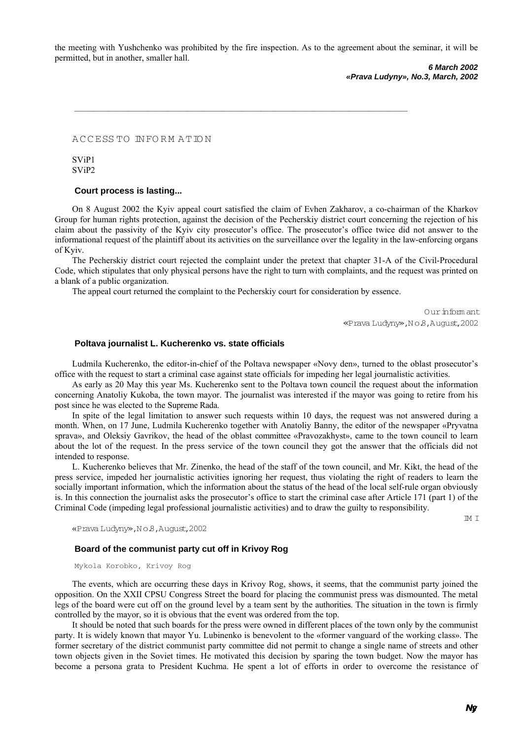the meeting with Yushchenko was prohibited by the fire inspection. As to the agreement about the seminar, it will be permitted, but in another, smaller hall.

**\_\_\_\_\_\_\_\_\_\_\_\_\_\_\_\_\_\_\_\_\_\_\_\_\_\_\_\_\_\_\_\_\_\_\_\_\_\_\_\_\_\_\_\_\_\_\_\_\_\_\_\_\_\_\_\_\_\_\_\_\_\_\_\_\_\_\_\_**

*6 March 2002 «Prava Ludyny», No.3, March, 2002* 

A C C ESS TO IN FO R M A TIO N

SViP1 SViP2

# **Court process is lasting...**

On 8 August 2002 the Kyiv appeal court satisfied the claim of Evhen Zakharov, a co-chairman of the Kharkov Group for human rights protection, against the decision of the Pecherskiy district court concerning the rejection of his claim about the passivity of the Kyiv city prosecutor's office. The prosecutor's office twice did not answer to the informational request of the plaintiff about its activities on the surveillance over the legality in the law-enforcing organs of Kyiv.

The Pecherskiy district court rejected the complaint under the pretext that chapter 31-A of the Civil-Procedural Code, which stipulates that only physical persons have the right to turn with complaints, and the request was printed on a blank of a public organization.

The appeal court returned the complaint to the Pecherskiy court for consideration by essence.

O ur inform ant «Prava Ludyny»,N o.8,August,2002

### **Poltava journalist L. Kucherenko vs. state officials**

Ludmila Kucherenko, the editor-in-chief of the Poltava newspaper «Novy den», turned to the oblast prosecutor's office with the request to start a criminal case against state officials for impeding her legal journalistic activities.

As early as 20 May this year Ms. Kucherenko sent to the Poltava town council the request about the information concerning Anatoliy Kukoba, the town mayor. The journalist was interested if the mayor was going to retire from his post since he was elected to the Supreme Rada.

In spite of the legal limitation to answer such requests within 10 days, the request was not answered during a month. When, on 17 June, Ludmila Kucherenko together with Anatoliy Banny, the editor of the newspaper «Pryvatna sprava», and Oleksiy Gavrikov, the head of the oblast committee «Pravozakhyst», came to the town council to learn about the lot of the request. In the press service of the town council they got the answer that the officials did not intended to response.

L. Kucherenko believes that Mr. Zinenko, the head of the staff of the town council, and Mr. Kikt, the head of the press service, impeded her journalistic activities ignoring her request, thus violating the right of readers to learn the socially important information, which the information about the status of the head of the local self-rule organ obviously is. In this connection the journalist asks the prosecutor's office to start the criminal case after Article 171 (part 1) of the Criminal Code (impeding legal professional journalistic activities) and to draw the guilty to responsibility.

«Prava Ludyny»,N o.8,August,2002

### **Board of the communist party cut off in Krivoy Rog**

Mykola Korobko, Krivoy Rog

The events, which are occurring these days in Krivoy Rog, shows, it seems, that the communist party joined the opposition. On the XXII CPSU Congress Street the board for placing the communist press was dismounted. The metal legs of the board were cut off on the ground level by a team sent by the authorities. The situation in the town is firmly controlled by the mayor, so it is obvious that the event was ordered from the top.

It should be noted that such boards for the press were owned in different places of the town only by the communist party. It is widely known that mayor Yu. Lubinenko is benevolent to the «former vanguard of the working class». The former secretary of the district communist party committee did not permit to change a single name of streets and other town objects given in the Soviet times. He motivated this decision by sparing the town budget. Now the mayor has become a persona grata to President Kuchma. He spent a lot of efforts in order to overcome the resistance of

IM I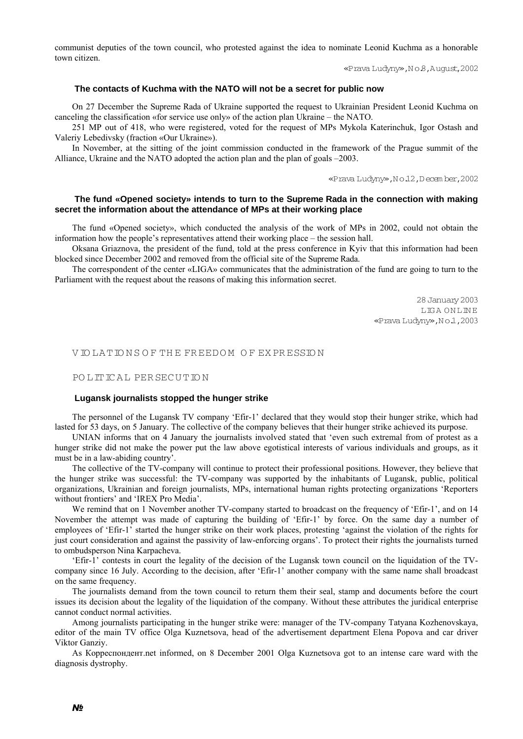communist deputies of the town council, who protested against the idea to nominate Leonid Kuchma as a honorable town citizen.

«Prava Ludyny»,N o.8,August,2002

### **The contacts of Kuchma with the NATO will not be a secret for public now**

On 27 December the Supreme Rada of Ukraine supported the request to Ukrainian President Leonid Kuchma on canceling the classification «for service use only» of the action plan Ukraine – the NATO.

251 MP out of 418, who were registered, voted for the request of MPs Mykola Katerinchuk, Igor Ostash and Valeriy Lebedivsky (fraction «Our Ukraine»).

In November, at the sitting of the joint commission conducted in the framework of the Prague summit of the Alliance, Ukraine and the NATO adopted the action plan and the plan of goals –2003.

«Prava Ludyny»,N o.12,D ecem ber,2002

# **The fund «Opened society» intends to turn to the Supreme Rada in the connection with making secret the information about the attendance of MPs at their working place**

The fund «Opened society», which conducted the analysis of the work of MPs in 2002, could not obtain the information how the people's representatives attend their working place – the session hall.

Oksana Griaznova, the president of the fund, told at the press conference in Kyiv that this information had been blocked since December 2002 and removed from the official site of the Supreme Rada.

The correspondent of the center «LIGA» communicates that the administration of the fund are going to turn to the Parliament with the request about the reasons of making this information secret.

> 28 January 2003 LIGA ONLINE «Prava Ludyny»,N o.1,2003

V IO LA TIO N S O F THE FREEDO M O F EX PR ESSIO N

POLITICAL PER SECUTION

#### **Lugansk journalists stopped the hunger strike**

The personnel of the Lugansk TV company 'Efir-1' declared that they would stop their hunger strike, which had lasted for 53 days, on 5 January. The collective of the company believes that their hunger strike achieved its purpose.

UNIAN informs that on 4 January the journalists involved stated that 'even such extremal from of protest as a hunger strike did not make the power put the law above egotistical interests of various individuals and groups, as it must be in a law-abiding country'.

The collective of the TV-company will continue to protect their professional positions. However, they believe that the hunger strike was successful: the TV-company was supported by the inhabitants of Lugansk, public, political organizations, Ukrainian and foreign journalists, MPs, international human rights protecting organizations 'Reporters without frontiers' and 'IREX Pro Media'.

We remind that on 1 November another TV-company started to broadcast on the frequency of 'Efir-1', and on 14 November the attempt was made of capturing the building of 'Efir-1' by force. On the same day a number of employees of 'Efir-1' started the hunger strike on their work places, protesting 'against the violation of the rights for just court consideration and against the passivity of law-enforcing organs'. To protect their rights the journalists turned to ombudsperson Nina Karpacheva.

'Efir-1' contests in court the legality of the decision of the Lugansk town council on the liquidation of the TVcompany since 16 July. According to the decision, after 'Efir-1' another company with the same name shall broadcast on the same frequency.

The journalists demand from the town council to return them their seal, stamp and documents before the court issues its decision about the legality of the liquidation of the company. Without these attributes the juridical enterprise cannot conduct normal activities.

Among journalists participating in the hunger strike were: manager of the TV-company Tatyana Kozhenovskaya, editor of the main TV office Olga Kuznetsova, head of the advertisement department Elena Popova and car driver Viktor Ganziy.

As Корреспондент.net informed, on 8 December 2001 Olga Kuznetsova got to an intense care ward with the diagnosis dystrophy.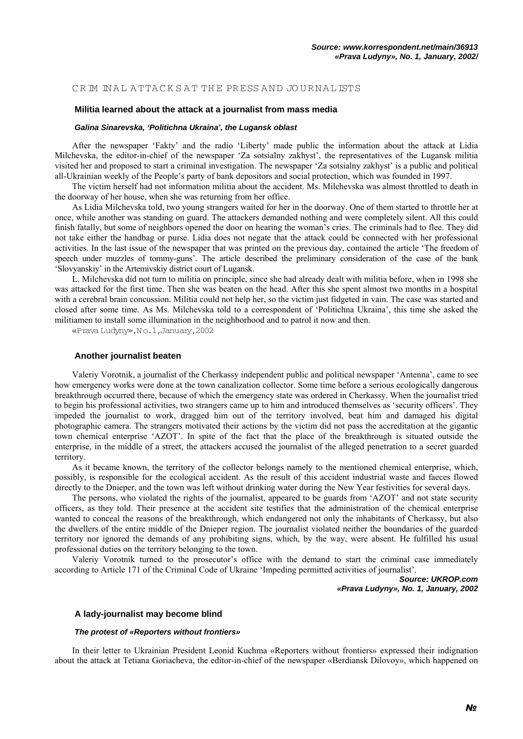### CRIM INAL ATTACKS AT THE PRESS AND JOURNALISTS

# **Militia learned about the attack at a journalist from mass media**

#### *Galina Sinarevska, 'Politichna Ukraina', the Lugansk oblast*

After the newspaper 'Fakty' and the radio 'Liberty' made public the information about the attack at Lidia Milchevska, the editor-in-chief of the newspaper 'Za sotsialny zakhyst', the representatives of the Lugansk militia visited her and proposed to start a criminal investigation. The newspaper 'Za sotsialny zakhyst' is a public and political all-Ukrainian weekly of the People's party of bank depositors and social protection, which was founded in 1997.

The victim herself had not information militia about the accident. Ms. Milchevska was almost throttled to death in the doorway of her house, when she was returning from her office.

As Lidia Milchevska told, two young strangers waited for her in the doorway. One of them started to throttle her at once, while another was standing on guard. The attackers demanded nothing and were completely silent. All this could finish fatally, but some of neighbors opened the door on hearing the woman's cries. The criminals had to flee. They did not take either the handbag or purse. Lidia does not negate that the attack could be connected with her professional activities. In the last issue of the newspaper that was printed on the previous day, contained the article 'The freedom of speech under muzzles of tommy-guns'. The article described the preliminary consideration of the case of the bank 'Slovyanskiy' in the Artemivskiy district court of Lugansk.

L. Milchevska did not turn to militia on principle, since she had already dealt with militia before, when in 1998 she was attacked for the first time. Then she was beaten on the head. After this she spent almost two months in a hospital with a cerebral brain concussion. Militia could not help her, so the victim just fidgeted in vain. The case was started and closed after some time. As Ms. Milchevska told to a correspondent of 'Politichna Ukraina', this time she asked the militiamen to install some illumination in the neighborhood and to patrol it now and then.

«Prava Ludyny»,N o.1,January,2002

#### **Another journalist beaten**

Valeriy Vorotnik, a journalist of the Cherkassy independent public and political newspaper 'Antenna', came to see how emergency works were done at the town canalization collector. Some time before a serious ecologically dangerous breakthrough occurred there, because of which the emergency state was ordered in Cherkassy. When the journalist tried to begin his professional activities, two strangers came up to him and introduced themselves as 'security officers'. They impeded the journalist to work, dragged him out of the territory involved, beat him and damaged his digital photographic camera. The strangers motivated their actions by the victim did not pass the accreditation at the gigantic town chemical enterprise 'AZOT'. In spite of the fact that the place of the breakthrough is situated outside the enterprise, in the middle of a street, the attackers accused the journalist of the alleged penetration to a secret guarded territory.

As it became known, the territory of the collector belongs namely to the mentioned chemical enterprise, which, possibly, is responsible for the ecological accident. As the result of this accident industrial waste and faeces flowed directly to the Dnieper, and the town was left without drinking water during the New Year festivities for several days.

The persons, who violated the rights of the journalist, appeared to be guards from 'AZOT' and not state security officers, as they told. Their presence at the accident site testifies that the administration of the chemical enterprise wanted to conceal the reasons of the breakthrough, which endangered not only the inhabitants of Cherkassy, but also the dwellers of the entire middle of the Dnieper region. The journalist violated neither the boundaries of the guarded territory nor ignored the demands of any prohibiting signs, which, by the way, were absent. He fulfilled his usual professional duties on the territory belonging to the town.

Valeriy Vorotnik turned to the prosecutor's office with the demand to start the criminal case immediately according to Article 171 of the Criminal Code of Ukraine 'Impeding permitted activities of journalist'.

> *Source: UKROP.com «Prava Ludyny», No. 1, January, 2002*

#### **A lady-journalist may become blind**

#### *The protest of «Reporters without frontiers»*

In their letter to Ukrainian President Leonid Kuchma «Reporters without frontiers» expressed their indignation about the attack at Tetiana Goriacheva, the editor-in-chief of the newspaper «Berdiansk Dilovoy», which happened on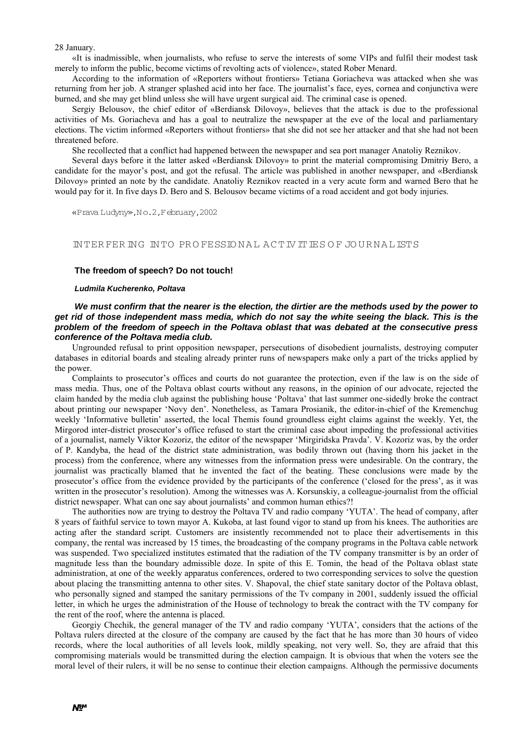#### 28 January.

«It is inadmissible, when journalists, who refuse to serve the interests of some VIPs and fulfil their modest task merely to inform the public, become victims of revolting acts of violence», stated Rober Menard.

According to the information of «Reporters without frontiers» Tetiana Goriacheva was attacked when she was returning from her job. A stranger splashed acid into her face. The journalist's face, eyes, cornea and conjunctiva were burned, and she may get blind unless she will have urgent surgical aid. The criminal case is opened.

Sergiy Belousov, the chief editor of «Berdiansk Dilovoy», believes that the attack is due to the professional activities of Ms. Goriacheva and has a goal to neutralize the newspaper at the eve of the local and parliamentary elections. The victim informed «Reporters without frontiers» that she did not see her attacker and that she had not been threatened before.

She recollected that a conflict had happened between the newspaper and sea port manager Anatoliy Reznikov.

Several days before it the latter asked «Berdiansk Dilovoy» to print the material compromising Dmitriy Bero, a candidate for the mayor's post, and got the refusal. The article was published in another newspaper, and «Berdiansk Dilovoy» printed an note by the candidate. Anatoliy Reznikov reacted in a very acute form and warned Bero that he would pay for it. In five days D. Bero and S. Belousov became victims of a road accident and got body injuries.

«Prava Ludyny»,N o.2,February,2002

IN TER FER IN G IN TO PR O FESSIO N A L A C TIV ITIES O F JO U R N A LISTS

#### **The freedom of speech? Do not touch!**

### *Ludmila Kucherenko, Poltava*

# *We must confirm that the nearer is the election, the dirtier are the methods used by the power to get rid of those independent mass media, which do not say the white seeing the black. This is the problem of the freedom of speech in the Poltava oblast that was debated at the consecutive press conference of the Poltava media club.*

Ungrounded refusal to print opposition newspaper, persecutions of disobedient journalists, destroying computer databases in editorial boards and stealing already printer runs of newspapers make only a part of the tricks applied by the power.

Complaints to prosecutor's offices and courts do not guarantee the protection, even if the law is on the side of mass media. Thus, one of the Poltava oblast courts without any reasons, in the opinion of our advocate, rejected the claim handed by the media club against the publishing house 'Poltava' that last summer one-sidedly broke the contract about printing our newspaper 'Novy den'. Nonetheless, as Tamara Prosianik, the editor-in-chief of the Kremenchug weekly 'Informative bulletin' asserted, the local Themis found groundless eight claims against the weekly. Yet, the Mirgorod inter-district prosecutor's office refused to start the criminal case about impeding the professional activities of a journalist, namely Viktor Kozoriz, the editor of the newspaper 'Mirgiridska Pravda'. V. Kozoriz was, by the order of P. Kandyba, the head of the district state administration, was bodily thrown out (having thorn his jacket in the process) from the conference, where any witnesses from the information press were undesirable. On the contrary, the journalist was practically blamed that he invented the fact of the beating. These conclusions were made by the prosecutor's office from the evidence provided by the participants of the conference ('closed for the press', as it was written in the prosecutor's resolution). Among the witnesses was A. Korsunskiy, a colleague-journalist from the official district newspaper. What can one say about journalists' and common human ethics?!

The authorities now are trying to destroy the Poltava TV and radio company 'YUTA'. The head of company, after 8 years of faithful service to town mayor A. Kukoba, at last found vigor to stand up from his knees. The authorities are acting after the standard script. Customers are insistently recommended not to place their advertisements in this company, the rental was increased by 15 times, the broadcasting of the company programs in the Poltava cable network was suspended. Two specialized institutes estimated that the radiation of the TV company transmitter is by an order of magnitude less than the boundary admissible doze. In spite of this E. Tomin, the head of the Poltava oblast state administration, at one of the weekly apparatus conferences, ordered to two corresponding services to solve the question about placing the transmitting antenna to other sites. V. Shapoval, the chief state sanitary doctor of the Poltava oblast, who personally signed and stamped the sanitary permissions of the Tv company in 2001, suddenly issued the official letter, in which he urges the administration of the House of technology to break the contract with the TV company for the rent of the roof, where the antenna is placed.

Georgiy Chechik, the general manager of the TV and radio company 'YUTA', considers that the actions of the Poltava rulers directed at the closure of the company are caused by the fact that he has more than 30 hours of video records, where the local authorities of all levels look, mildly speaking, not very well. So, they are afraid that this compromising materials would be transmitted during the election campaign. It is obvious that when the voters see the moral level of their rulers, it will be no sense to continue their election campaigns. Although the permissive documents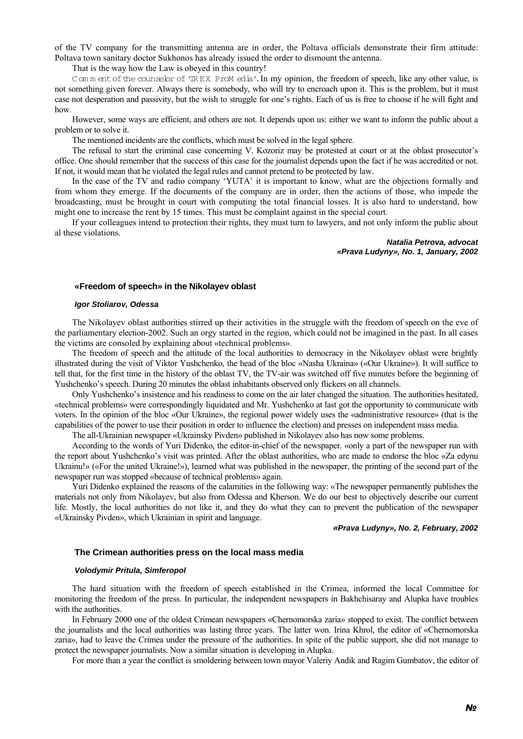of the TV company for the transmitting antenna are in order, the Poltava officials demonstrate their firm attitude: Poltava town sanitary doctor Sukhonos has already issued the order to dismount the antenna.

That is the way how the Law is obeyed in this country!

C om m ent of the counselor of 'IR EX ProM edia'. In my opinion, the freedom of speech, like any other value, is not something given forever. Always there is somebody, who will try to encroach upon it. This is the problem, but it must case not desperation and passivity, but the wish to struggle for one's rights. Each of us is free to choose if he will fight and how.

However, some ways are efficient, and others are not. It depends upon us: either we want to inform the public about a problem or to solve it.

The mentioned incidents are the conflicts, which must be solved in the legal sphere.

The refusal to start the criminal case concerning V. Kozoriz may be protested at court or at the oblast prosecutor's office. One should remember that the success of this case for the journalist depends upon the fact if he was accredited or not. If not, it would mean that he violated the legal rules and cannot pretend to be protected by law.

In the case of the TV and radio company 'YUTA' it is important to know, what are the objections formally and from whom they emerge. If the documents of the company are in order, then the actions of those, who impede the broadcasting, must be brought in court with computing the total financial losses. It is also hard to understand, how might one to increase the rent by 15 times. This must be complaint against in the special court.

If your colleagues intend to protection their rights, they must turn to lawyers, and not only inform the public about al these violations.

> *Natalia Petrova, advocat «Prava Ludyny», No. 1, January, 2002*

# **«Freedom of speech» in the Nikolayev oblast**

#### *Igor Stoliarov, Odessa*

The Nikolayev oblast authorities stirred up their activities in the struggle with the freedom of speech on the eve of the parliamentary election-2002. Such an orgy started in the region, which could not be imagined in the past. In all cases the victims are consoled by explaining about «technical problems».

The freedom of speech and the attitude of the local authorities to democracy in the Nikolayev oblast were brightly illustrated during the visit of Viktor Yushchenko, the head of the bloc «Nasha Ukraina» («Our Ukraine»). It will suffice to tell that, for the first time in the history of the oblast TV, the TV-air was switched off five minutes before the beginning of Yushchenko's speech. During 20 minutes the oblast inhabitants observed only flickers on all channels.

Only Yushchenko's insistence and his readiness to come on the air later changed the situation. The authorities hesitated, «technical problems» were correspondingly liquidated and Mr. Yushchenko at last got the opportunity to communicate with voters. In the opinion of the bloc «Our Ukraine», the regional power widely uses the «administrative resource» (that is the capabilities of the power to use their position in order to influence the election) and presses on independent mass media.

The all-Ukrainian newspaper «Ukrainsky Pivden» published in Nikolayev also has now some problems.

According to the words of Yuri Didenko, the editor-in-chief of the newspaper. «only a part of the newspaper run with the report about Yushchenko's visit was printed. After the oblast authorities, who are made to endorse the bloc «Za edynu Ukrainu!» («For the united Ukraine!»), learned what was published in the newspaper, the printing of the second part of the newspaper run was stopped «because of technical problems» again.

Yuri Didenko explained the reasons of the calamities in the following way: «The newspaper permanently publishes the materials not only from Nikolayev, but also from Odessa and Kherson. We do our best to objectively describe our current life. Mostly, the local authorities do not like it, and they do what they can to prevent the publication of the newspaper «Ukrainsky Pivden», which Ukrainian in spirit and language.

#### *«Prava Ludyny», No. 2, February, 2002*

# **The Crimean authorities press on the local mass media**

#### *Volodymir Pritula, Simferopol*

The hard situation with the freedom of speech established in the Crimea, informed the local Committee for monitoring the freedom of the press. In particular, the independent newspapers in Bakhchisaray and Alupka have troubles with the authorities.

In February 2000 one of the oldest Crimean newspapers «Chernomorska zaria» stopped to exist. The conflict between the journalists and the local authorities was lasting three years. The latter won. Irina Khrol, the editor of «Chernomorska zaria», had to leave the Crimea under the pressure of the authorities. In spite of the public support, she did not manage to protect the newspaper journalists. Now a similar situation is developing in Alupka.

For more than a year the conflict is smoldering between town mayor Valeriy Andik and Ragim Gumbatov, the editor of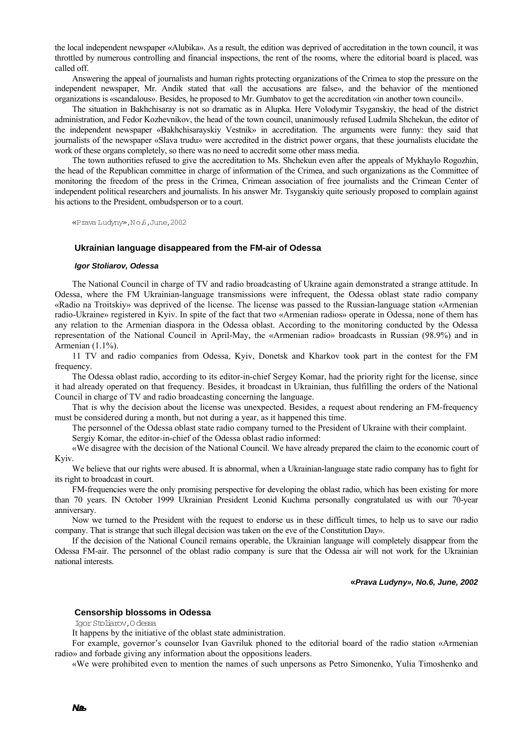the local independent newspaper «Alubika». As a result, the edition was deprived of accreditation in the town council, it was throttled by numerous controlling and financial inspections, the rent of the rooms, where the editorial board is placed, was called off.

Answering the appeal of journalists and human rights protecting organizations of the Crimea to stop the pressure on the independent newspaper, Mr. Andik stated that «all the accusations are false», and the behavior of the mentioned organizations is «scandalous». Besides, he proposed to Mr. Gumbatov to get the accreditation «in another town council».

The situation in Bakhchisaray is not so dramatic as in Alupka. Here Volodymir Tsyganskiy, the head of the district administration, and Fedor Kozhevnikov, the head of the town council, unanimously refused Ludmila Shchekun, the editor of the independent newspaper «Bakhchisarayskiy Vestnik» in accreditation. The arguments were funny: they said that journalists of the newspaper «Slava trudu» were accredited in the district power organs, that these journalists elucidate the work of these organs completely, so there was no need to accredit some other mass media.

The town authorities refused to give the accreditation to Ms. Shchekun even after the appeals of Mykhaylo Rogozhin, the head of the Republican committee in charge of information of the Crimea, and such organizations as the Committee of monitoring the freedom of the press in the Crimea, Crimean association of free journalists and the Crimean Center of independent political researchers and journalists. In his answer Mr. Tsyganskiy quite seriously proposed to complain against his actions to the President, ombudsperson or to a court.

«Prava Ludyny»,N o.6,June,2002

#### **Ukrainian language disappeared from the FM-air of Odessa**

#### *Igor Stoliarov, Odessa*

The National Council in charge of TV and radio broadcasting of Ukraine again demonstrated a strange attitude. In Odessa, where the FM Ukrainian-language transmissions were infrequent, the Odessa oblast state radio company «Radio na Troitskiy» was deprived of the license. The license was passed to the Russian-language station «Armenian radio-Ukraine» registered in Kyiv. In spite of the fact that two «Armenian radios» operate in Odessa, none of them has any relation to the Armenian diaspora in the Odessa oblast. According to the monitoring conducted by the Odessa representation of the National Council in April-May, the «Armenian radio» broadcasts in Russian (98.9%) and in Armenian (1.1%).

11 TV and radio companies from Odessa, Kyiv, Donetsk and Kharkov took part in the contest for the FM frequency.

The Odessa oblast radio, according to its editor-in-chief Sergey Komar, had the priority right for the license, since it had already operated on that frequency. Besides, it broadcast in Ukrainian, thus fulfilling the orders of the National Council in charge of TV and radio broadcasting concerning the language.

That is why the decision about the license was unexpected. Besides, a request about rendering an FM-frequency must be considered during a month, but not during a year, as it happened this time.

The personnel of the Odessa oblast state radio company turned to the President of Ukraine with their complaint.

Sergiy Komar, the editor-in-chief of the Odessa oblast radio informed:

«We disagree with the decision of the National Council. We have already prepared the claim to the economic court of Kyiv.

We believe that our rights were abused. It is abnormal, when a Ukrainian-language state radio company has to fight for its right to broadcast in court.

FM-frequencies were the only promising perspective for developing the oblast radio, which has been existing for more than 70 years. IN October 1999 Ukrainian President Leonid Kuchma personally congratulated us with our 70-year anniversary.

Now we turned to the President with the request to endorse us in these difficult times, to help us to save our radio company. That is strange that such illegal decision was taken on the eve of the Constitution Day».

If the decision of the National Council remains operable, the Ukrainian language will completely disappear from the Odessa FM-air. The personnel of the oblast radio company is sure that the Odessa air will not work for the Ukrainian national interests.

#### **«***Prava Ludyny», No.6, June, 2002*

#### **Censorship blossoms in Odessa**

Igor Stoliarov,O dessa

It happens by the initiative of the oblast state administration.

For example, governor's counselor Ivan Gavriluk phoned to the editorial board of the radio station «Armenian radio» and forbade giving any information about the oppositions leaders.

«We were prohibited even to mention the names of such unpersons as Petro Simonenko, Yulia Timoshenko and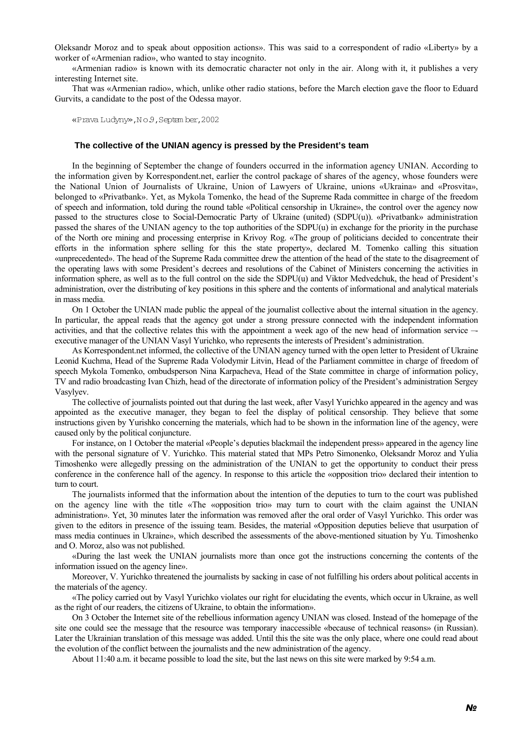Oleksandr Moroz and to speak about opposition actions». This was said to a correspondent of radio «Liberty» by a worker of «Armenian radio», who wanted to stay incognito.

«Armenian radio» is known with its democratic character not only in the air. Along with it, it publishes a very interesting Internet site.

That was «Armenian radio», which, unlike other radio stations, before the March election gave the floor to Eduard Gurvits, a candidate to the post of the Odessa mayor.

«Prava Ludyny»,N o.9,Septem ber,2002

#### **The collective of the UNIAN agency is pressed by the President's team**

In the beginning of September the change of founders occurred in the information agency UNIAN. According to the information given by Korrespondent.net, earlier the control package of shares of the agency, whose founders were the National Union of Journalists of Ukraine, Union of Lawyers of Ukraine, unions «Ukraina» and «Prosvita», belonged to «Privatbank». Yet, as Mykola Tomenko, the head of the Supreme Rada committee in charge of the freedom of speech and information, told during the round table «Political censorship in Ukraine», the control over the agency now passed to the structures close to Social-Democratic Party of Ukraine (united) (SDPU(u)). «Privatbank» administration passed the shares of the UNIAN agency to the top authorities of the SDPU $(u)$  in exchange for the priority in the purchase of the North ore mining and processing enterprise in Krivoy Rog. «The group of politicians decided to concentrate their efforts in the information sphere selling for this the state property», declared M. Tomenko calling this situation «unprecedented». The head of the Supreme Rada committee drew the attention of the head of the state to the disagreement of the operating laws with some President's decrees and resolutions of the Cabinet of Ministers concerning the activities in information sphere, as well as to the full control on the side the SDPU(u) and Viktor Medvedchuk, the head of President's administration, over the distributing of key positions in this sphere and the contents of informational and analytical materials in mass media.

On 1 October the UNIAN made public the appeal of the journalist collective about the internal situation in the agency. In particular, the appeal reads that the agency got under a strong pressure connected with the independent information activities, and that the collective relates this with the appointment a week ago of the new head of information service – executive manager of the UNIAN Vasyl Yurichko, who represents the interests of President's administration.

As Korrespondent.net informed, the collective of the UNIAN agency turned with the open letter to President of Ukraine Leonid Kuchma, Head of the Supreme Rada Volodymir Litvin, Head of the Parliament committee in charge of freedom of speech Mykola Tomenko, ombudsperson Nina Karpacheva, Head of the State committee in charge of information policy, TV and radio broadcasting Ivan Chizh, head of the directorate of information policy of the President's administration Sergey Vasylyev.

The collective of journalists pointed out that during the last week, after Vasyl Yurichko appeared in the agency and was appointed as the executive manager, they began to feel the display of political censorship. They believe that some instructions given by Yurishko concerning the materials, which had to be shown in the information line of the agency, were caused only by the political conjuncture.

For instance, on 1 October the material «People's deputies blackmail the independent press» appeared in the agency line with the personal signature of V. Yurichko. This material stated that MPs Petro Simonenko, Oleksandr Moroz and Yulia Timoshenko were allegedly pressing on the administration of the UNIAN to get the opportunity to conduct their press conference in the conference hall of the agency. In response to this article the «opposition trio» declared their intention to turn to court.

The journalists informed that the information about the intention of the deputies to turn to the court was published on the agency line with the title «The «opposition trio» may turn to court with the claim against the UNIAN administration». Yet, 30 minutes later the information was removed after the oral order of Vasyl Yurichko. This order was given to the editors in presence of the issuing team. Besides, the material «Opposition deputies believe that usurpation of mass media continues in Ukraine», which described the assessments of the above-mentioned situation by Yu. Timoshenko and O. Moroz, also was not published.

«During the last week the UNIAN journalists more than once got the instructions concerning the contents of the information issued on the agency line».

Moreover, V. Yurichko threatened the journalists by sacking in case of not fulfilling his orders about political accents in the materials of the agency.

«The policy carried out by Vasyl Yurichko violates our right for elucidating the events, which occur in Ukraine, as well as the right of our readers, the citizens of Ukraine, to obtain the information».

On 3 October the Internet site of the rebellious information agency UNIAN was closed. Instead of the homepage of the site one could see the message that the resource was temporary inaccessible «because of technical reasons» (in Russian). Later the Ukrainian translation of this message was added. Until this the site was the only place, where one could read about the evolution of the conflict between the journalists and the new administration of the agency.

About 11:40 a.m. it became possible to load the site, but the last news on this site were marked by 9:54 a.m.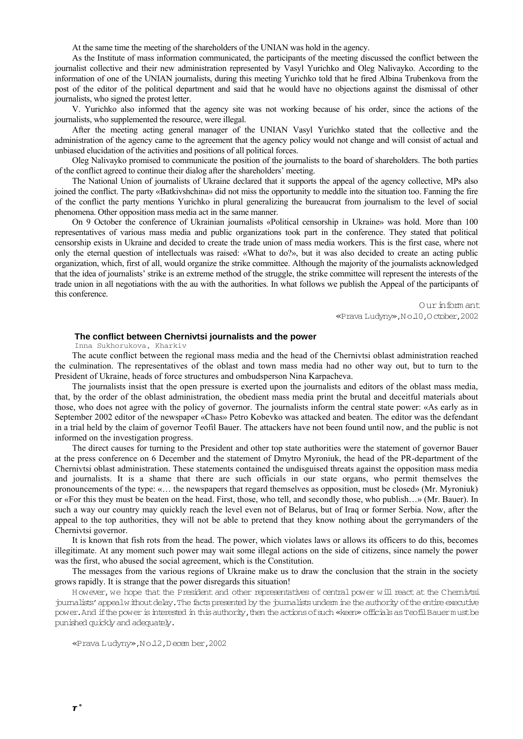At the same time the meeting of the shareholders of the UNIAN was hold in the agency.

As the Institute of mass information communicated, the participants of the meeting discussed the conflict between the journalist collective and their new administration represented by Vasyl Yurichko and Oleg Nalivayko. According to the information of one of the UNIAN journalists, during this meeting Yurichko told that he fired Albina Trubenkova from the post of the editor of the political department and said that he would have no objections against the dismissal of other journalists, who signed the protest letter.

V. Yurichko also informed that the agency site was not working because of his order, since the actions of the journalists, who supplemented the resource, were illegal.

After the meeting acting general manager of the UNIAN Vasyl Yurichko stated that the collective and the administration of the agency came to the agreement that the agency policy would not change and will consist of actual and unbiased elucidation of the activities and positions of all political forces.

Oleg Nalivayko promised to communicate the position of the journalists to the board of shareholders. The both parties of the conflict agreed to continue their dialog after the shareholders' meeting.

The National Union of journalists of Ukraine declared that it supports the appeal of the agency collective, MPs also joined the conflict. The party «Batkivshchina» did not miss the opportunity to meddle into the situation too. Fanning the fire of the conflict the party mentions Yurichko in plural generalizing the bureaucrat from journalism to the level of social phenomena. Other opposition mass media act in the same manner.

On 9 October the conference of Ukrainian journalists «Political censorship in Ukraine» was hold. More than 100 representatives of various mass media and public organizations took part in the conference. They stated that political censorship exists in Ukraine and decided to create the trade union of mass media workers. This is the first case, where not only the eternal question of intellectuals was raised: «What to do?», but it was also decided to create an acting public organization, which, first of all, would organize the strike committee. Although the majority of the journalists acknowledged that the idea of journalists' strike is an extreme method of the struggle, the strike committee will represent the interests of the trade union in all negotiations with the au with the authorities. In what follows we publish the Appeal of the participants of this conference.

> O ur inform ant «Prava Ludyny»,N o.10,O ctober,2002

### **The conflict between Chernivtsi journalists and the power**

Inna Sukhorukova, Kharkiv

The acute conflict between the regional mass media and the head of the Chernivtsi oblast administration reached the culmination. The representatives of the oblast and town mass media had no other way out, but to turn to the President of Ukraine, heads of force structures and ombudsperson Nina Karpacheva.

The journalists insist that the open pressure is exerted upon the journalists and editors of the oblast mass media, that, by the order of the oblast administration, the obedient mass media print the brutal and deceitful materials about those, who does not agree with the policy of governor. The journalists inform the central state power: «As early as in September 2002 editor of the newspaper «Chas» Petro Kobevko was attacked and beaten. The editor was the defendant in a trial held by the claim of governor Teofil Bauer. The attackers have not been found until now, and the public is not informed on the investigation progress.

The direct causes for turning to the President and other top state authorities were the statement of governor Bauer at the press conference on 6 December and the statement of Dmytro Myroniuk, the head of the PR-department of the Chernivtsi oblast administration. These statements contained the undisguised threats against the opposition mass media and journalists. It is a shame that there are such officials in our state organs, who permit themselves the pronouncements of the type: «… the newspapers that regard themselves as opposition, must be closed» (Mr. Myroniuk) or «For this they must be beaten on the head. First, those, who tell, and secondly those, who publish…» (Mr. Bauer). In such a way our country may quickly reach the level even not of Belarus, but of Iraq or former Serbia. Now, after the appeal to the top authorities, they will not be able to pretend that they know nothing about the gerrymanders of the Chernivtsi governor.

It is known that fish rots from the head. The power, which violates laws or allows its officers to do this, becomes illegitimate. At any moment such power may wait some illegal actions on the side of citizens, since namely the power was the first, who abused the social agreement, which is the Constitution.

The messages from the various regions of Ukraine make us to draw the conclusion that the strain in the society grows rapidly. It is strange that the power disregards this situation!

H owever, we hope that the President and other representatives of central power will react at the Chernivtsi journalists'appealwithoutdelay.The facts presented by the journalists underm ine the authority ofthe entire executive power. And if the power is interested in this authority, then the actions of such «keen» officials as Teofil Bauer must be punished quickly and adequately.

«Prava Ludyny»,N o.12,D ecem ber,2002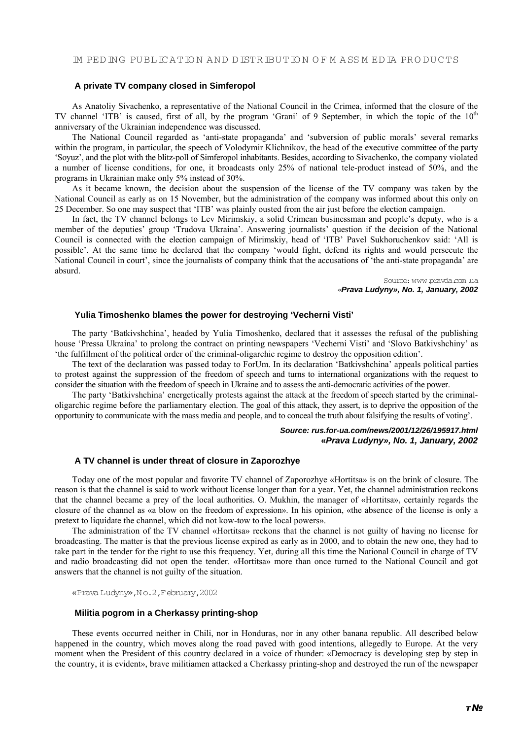# **A private TV company closed in Simferopol**

As Anatoliy Sivachenko, a representative of the National Council in the Crimea, informed that the closure of the TV channel 'ITB' is caused, first of all, by the program 'Grani' of 9 September, in which the topic of the 10<sup>th</sup> anniversary of the Ukrainian independence was discussed.

The National Council regarded as 'anti-state propaganda' and 'subversion of public morals' several remarks within the program, in particular, the speech of Volodymir Klichnikov, the head of the executive committee of the party 'Soyuz', and the plot with the blitz-poll of Simferopol inhabitants. Besides, according to Sivachenko, the company violated a number of license conditions, for one, it broadcasts only 25% of national tele-product instead of 50%, and the programs in Ukrainian make only 5% instead of 30%.

As it became known, the decision about the suspension of the license of the TV company was taken by the National Council as early as on 15 November, but the administration of the company was informed about this only on 25 December. So one may suspect that 'ITB' was plainly ousted from the air just before the election campaign.

In fact, the TV channel belongs to Lev Mirimskiy, a solid Crimean businessman and people's deputy, who is a member of the deputies' group 'Trudova Ukraina'. Answering journalists' question if the decision of the National Council is connected with the election campaign of Mirimskiy, head of 'ITB' Pavel Sukhoruchenkov said: 'All is possible'. At the same time he declared that the company 'would fight, defend its rights and would persecute the National Council in court', since the journalists of company think that the accusations of 'the anti-state propaganda' are absurd.

> Source:www.pravda.com .ua «*Prava Ludyny», No. 1, January, 2002*

# **Yulia Timoshenko blames the power for destroying 'Vecherni Visti'**

The party 'Batkivshchina', headed by Yulia Timoshenko, declared that it assesses the refusal of the publishing house 'Pressa Ukraina' to prolong the contract on printing newspapers 'Vecherni Visti' and 'Slovo Batkivshchiny' as 'the fulfillment of the political order of the criminal-oligarchic regime to destroy the opposition edition'.

The text of the declaration was passed today to ForUm. In its declaration 'Batkivshchina' appeals political parties to protest against the suppression of the freedom of speech and turns to international organizations with the request to consider the situation with the freedom of speech in Ukraine and to assess the anti-democratic activities of the power.

The party 'Batkivshchina' energetically protests against the attack at the freedom of speech started by the criminaloligarchic regime before the parliamentary election. The goal of this attack, they assert, is to deprive the opposition of the opportunity to communicate with the mass media and people, and to conceal the truth about falsifying the results of voting'.

# *Source: rus.for-ua.com/news/2001/12/26/195917.html*  **«***Prava Ludyny», No. 1, January, 2002*

# **A TV channel is under threat of closure in Zaporozhye**

Today one of the most popular and favorite TV channel of Zaporozhye «Hortitsa» is on the brink of closure. The reason is that the channel is said to work without license longer than for a year. Yet, the channel administration reckons that the channel became a prey of the local authorities. O. Mukhin, the manager of «Hortitsa», certainly regards the closure of the channel as «a blow on the freedom of expression». In his opinion, «the absence of the license is only a pretext to liquidate the channel, which did not kow-tow to the local powers».

The administration of the TV channel «Hortitsa» reckons that the channel is not guilty of having no license for broadcasting. The matter is that the previous license expired as early as in 2000, and to obtain the new one, they had to take part in the tender for the right to use this frequency. Yet, during all this time the National Council in charge of TV and radio broadcasting did not open the tender. «Hortitsa» more than once turned to the National Council and got answers that the channel is not guilty of the situation.

«Prava Ludyny»,N o.2,February,2002

#### **Militia pogrom in a Cherkassy printing-shop**

These events occurred neither in Chili, nor in Honduras, nor in any other banana republic. All described below happened in the country, which moves along the road paved with good intentions, allegedly to Europe. At the very moment when the President of this country declared in a voice of thunder: «Democracy is developing step by step in the country, it is evident», brave militiamen attacked a Cherkassy printing-shop and destroyed the run of the newspaper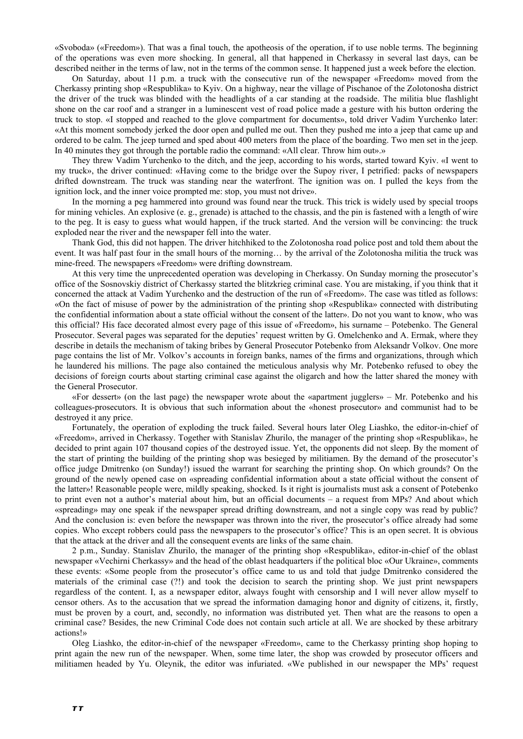«Svoboda» («Freedom»). That was a final touch, the apotheosis of the operation, if to use noble terms. The beginning of the operations was even more shocking. In general, all that happened in Cherkassy in several last days, can be described neither in the terms of law, not in the terms of the common sense. It happened just a week before the election.

On Saturday, about 11 p.m. a truck with the consecutive run of the newspaper «Freedom» moved from the Cherkassy printing shop «Respublika» to Kyiv. On a highway, near the village of Pischanoe of the Zolotonosha district the driver of the truck was blinded with the headlights of a car standing at the roadside. The militia blue flashlight shone on the car roof and a stranger in a luminescent vest of road police made a gesture with his button ordering the truck to stop. «I stopped and reached to the glove compartment for documents», told driver Vadim Yurchenko later: «At this moment somebody jerked the door open and pulled me out. Then they pushed me into a jeep that came up and ordered to be calm. The jeep turned and sped about 400 meters from the place of the boarding. Two men set in the jeep. In 40 minutes they got through the portable radio the command: «All clear. Throw him out».»

They threw Vadim Yurchenko to the ditch, and the jeep, according to his words, started toward Kyiv. «I went to my truck», the driver continued: «Having come to the bridge over the Supoy river, I petrified: packs of newspapers drifted downstream. The truck was standing near the waterfront. The ignition was on. I pulled the keys from the ignition lock, and the inner voice prompted me: stop, you must not drive».

In the morning a peg hammered into ground was found near the truck. This trick is widely used by special troops for mining vehicles. An explosive (e. g., grenade) is attached to the chassis, and the pin is fastened with a length of wire to the peg. It is easy to guess what would happen, if the truck started. And the version will be convincing: the truck exploded near the river and the newspaper fell into the water.

Thank God, this did not happen. The driver hitchhiked to the Zolotonosha road police post and told them about the event. It was half past four in the small hours of the morning… by the arrival of the Zolotonosha militia the truck was mine-freed. The newspapers «Freedom» were drifting downstream.

At this very time the unprecedented operation was developing in Cherkassy. On Sunday morning the prosecutor's office of the Sosnovskiy district of Cherkassy started the blitzkrieg criminal case. You are mistaking, if you think that it concerned the attack at Vadim Yurchenko and the destruction of the run of «Freedom». The case was titled as follows: «On the fact of misuse of power by the administration of the printing shop «Respublika» connected with distributing the confidential information about a state official without the consent of the latter». Do not you want to know, who was this official? His face decorated almost every page of this issue of «Freedom», his surname – Potebenko. The General Prosecutor. Several pages was separated for the deputies' request written by G. Omelchenko and A. Ermak, where they describe in details the mechanism of taking bribes by General Prosecutor Potebenko from Aleksandr Volkov. One more page contains the list of Mr. Volkov's accounts in foreign banks, names of the firms and organizations, through which he laundered his millions. The page also contained the meticulous analysis why Mr. Potebenko refused to obey the decisions of foreign courts about starting criminal case against the oligarch and how the latter shared the money with the General Prosecutor.

«For dessert» (on the last page) the newspaper wrote about the «apartment jugglers» – Mr. Potebenko and his colleagues-prosecutors. It is obvious that such information about the «honest prosecutor» and communist had to be destroyed it any price.

Fortunately, the operation of exploding the truck failed. Several hours later Oleg Liashko, the editor-in-chief of «Freedom», arrived in Cherkassy. Together with Stanislav Zhurilo, the manager of the printing shop «Respublika», he decided to print again 107 thousand copies of the destroyed issue. Yet, the opponents did not sleep. By the moment of the start of printing the building of the printing shop was besieged by militiamen. By the demand of the prosecutor's office judge Dmitrenko (on Sunday!) issued the warrant for searching the printing shop. On which grounds? On the ground of the newly opened case on «spreading confidential information about a state official without the consent of the latter»! Reasonable people were, mildly speaking, shocked. Is it right is journalists must ask a consent of Potebenko to print even not a author's material about him, but an official documents – a request from MPs? And about which «spreading» may one speak if the newspaper spread drifting downstream, and not a single copy was read by public? And the conclusion is: even before the newspaper was thrown into the river, the prosecutor's office already had some copies. Who except robbers could pass the newspapers to the prosecutor's office? This is an open secret. It is obvious that the attack at the driver and all the consequent events are links of the same chain.

2 p.m., Sunday. Stanislav Zhurilo, the manager of the printing shop «Respublika», editor-in-chief of the oblast newspaper «Vechirni Cherkassy» and the head of the oblast headquarters if the political bloc «Our Ukraine», comments these events: «Some people from the prosecutor's office came to us and told that judge Dmitrenko considered the materials of the criminal case (?!) and took the decision to search the printing shop. We just print newspapers regardless of the content. I, as a newspaper editor, always fought with censorship and I will never allow myself to censor others. As to the accusation that we spread the information damaging honor and dignity of citizens, it, firstly, must be proven by a court, and, secondly, no information was distributed yet. Then what are the reasons to open a criminal case? Besides, the new Criminal Code does not contain such article at all. We are shocked by these arbitrary actions!»

Oleg Liashko, the editor-in-chief of the newspaper «Freedom», came to the Cherkassy printing shop hoping to print again the new run of the newspaper. When, some time later, the shop was crowded by prosecutor officers and militiamen headed by Yu. Oleynik, the editor was infuriated. «We published in our newspaper the MPs' request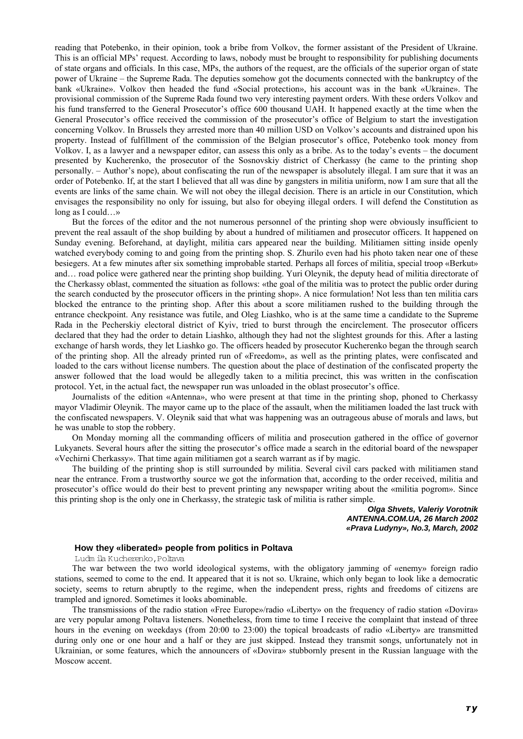reading that Potebenko, in their opinion, took a bribe from Volkov, the former assistant of the President of Ukraine. This is an official MPs' request. According to laws, nobody must be brought to responsibility for publishing documents of state organs and officials. In this case, MPs, the authors of the request, are the officials of the superior organ of state power of Ukraine – the Supreme Rada. The deputies somehow got the documents connected with the bankruptcy of the bank «Ukraine». Volkov then headed the fund «Social protection», his account was in the bank «Ukraine». The provisional commission of the Supreme Rada found two very interesting payment orders. With these orders Volkov and his fund transferred to the General Prosecutor's office 600 thousand UAH. It happened exactly at the time when the General Prosecutor's office received the commission of the prosecutor's office of Belgium to start the investigation concerning Volkov. In Brussels they arrested more than 40 million USD on Volkov's accounts and distrained upon his property. Instead of fulfillment of the commission of the Belgian prosecutor's office, Potebenko took money from Volkov. I, as a lawyer and a newspaper editor, can assess this only as a bribe. As to the today's events – the document presented by Kucherenko, the prosecutor of the Sosnovskiy district of Cherkassy (he came to the printing shop personally. – Author's nope), about confiscating the run of the newspaper is absolutely illegal. I am sure that it was an order of Potebenko. If, at the start I believed that all was dine by gangsters in militia uniform, now I am sure that all the events are links of the same chain. We will not obey the illegal decision. There is an article in our Constitution, which envisages the responsibility no only for issuing, but also for obeying illegal orders. I will defend the Constitution as long as I could…»

But the forces of the editor and the not numerous personnel of the printing shop were obviously insufficient to prevent the real assault of the shop building by about a hundred of militiamen and prosecutor officers. It happened on Sunday evening. Beforehand, at daylight, militia cars appeared near the building. Militiamen sitting inside openly watched everybody coming to and going from the printing shop. S. Zhurilo even had his photo taken near one of these besiegers. At a few minutes after six something improbable started. Perhaps all forces of militia, special troop «Berkut» and… road police were gathered near the printing shop building. Yuri Oleynik, the deputy head of militia directorate of the Cherkassy oblast, commented the situation as follows: «the goal of the militia was to protect the public order during the search conducted by the prosecutor officers in the printing shop». A nice formulation! Not less than ten militia cars blocked the entrance to the printing shop. After this about a score militiamen rushed to the building through the entrance checkpoint. Any resistance was futile, and Oleg Liashko, who is at the same time a candidate to the Supreme Rada in the Pecherskiy electoral district of Kyiv, tried to burst through the encirclement. The prosecutor officers declared that they had the order to detain Liashko, although they had not the slightest grounds for this. After a lasting exchange of harsh words, they let Liashko go. The officers headed by prosecutor Kucherenko began the through search of the printing shop. All the already printed run of «Freedom», as well as the printing plates, were confiscated and loaded to the cars without license numbers. The question about the place of destination of the confiscated property the answer followed that the load would be allegedly taken to a militia precinct, this was written in the confiscation protocol. Yet, in the actual fact, the newspaper run was unloaded in the oblast prosecutor's office.

Journalists of the edition «Antenna», who were present at that time in the printing shop, phoned to Cherkassy mayor Vladimir Oleynik. The mayor came up to the place of the assault, when the militiamen loaded the last truck with the confiscated newspapers. V. Oleynik said that what was happening was an outrageous abuse of morals and laws, but he was unable to stop the robbery.

On Monday morning all the commanding officers of militia and prosecution gathered in the office of governor Lukyanets. Several hours after the sitting the prosecutor's office made a search in the editorial board of the newspaper «Vechirni Cherkassy». That time again militiamen got a search warrant as if by magic.

The building of the printing shop is still surrounded by militia. Several civil cars packed with militiamen stand near the entrance. From a trustworthy source we got the information that, according to the order received, militia and prosecutor's office would do their best to prevent printing any newspaper writing about the «militia pogrom». Since this printing shop is the only one in Cherkassy, the strategic task of militia is rather simple.

> *Olga Shvets, Valeriy Vorotnik ANTENNA.COM.UA, 26 March 2002 «Prava Ludyny», No.3, March, 2002*

# **How they «liberated» people from politics in Poltava**

Ludm ila Kucherenko,Poltava

The war between the two world ideological systems, with the obligatory jamming of «enemy» foreign radio stations, seemed to come to the end. It appeared that it is not so. Ukraine, which only began to look like a democratic society, seems to return abruptly to the regime, when the independent press, rights and freedoms of citizens are trampled and ignored. Sometimes it looks abominable.

The transmissions of the radio station «Free Europe»/radio «Liberty» on the frequency of radio station «Dovira» are very popular among Poltava listeners. Nonetheless, from time to time I receive the complaint that instead of three hours in the evening on weekdays (from 20:00 to 23:00) the topical broadcasts of radio «Liberty» are transmitted during only one or one hour and a half or they are just skipped. Instead they transmit songs, unfortunately not in Ukrainian, or some features, which the announcers of «Dovira» stubbornly present in the Russian language with the Moscow accent.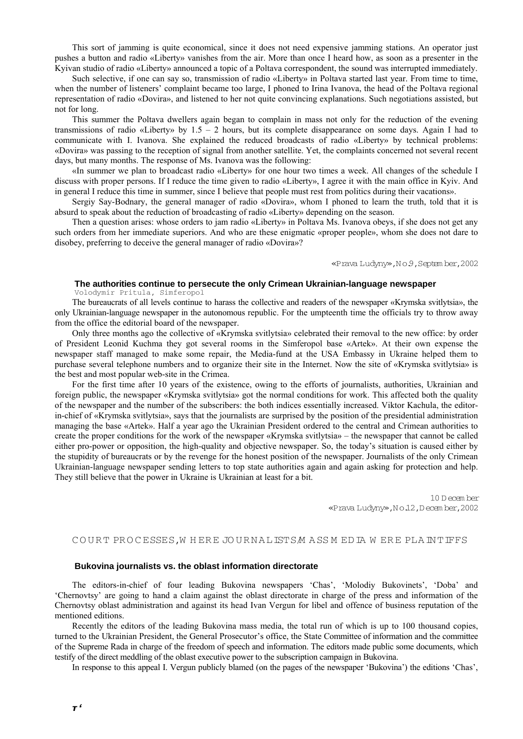This sort of jamming is quite economical, since it does not need expensive jamming stations. An operator just pushes a button and radio «Liberty» vanishes from the air. More than once I heard how, as soon as a presenter in the Kyivan studio of radio «Liberty» announced a topic of a Poltava correspondent, the sound was interrupted immediately.

Such selective, if one can say so, transmission of radio «Liberty» in Poltava started last year. From time to time, when the number of listeners' complaint became too large, I phoned to Irina Ivanova, the head of the Poltava regional representation of radio «Dovira», and listened to her not quite convincing explanations. Such negotiations assisted, but not for long.

This summer the Poltava dwellers again began to complain in mass not only for the reduction of the evening transmissions of radio «Liberty» by 1.5 – 2 hours, but its complete disappearance on some days. Again I had to communicate with I. Ivanova. She explained the reduced broadcasts of radio «Liberty» by technical problems: «Dovira» was passing to the reception of signal from another satellite. Yet, the complaints concerned not several recent days, but many months. The response of Ms. Ivanova was the following:

«In summer we plan to broadcast radio «Liberty» for one hour two times a week. All changes of the schedule I discuss with proper persons. If I reduce the time given to radio «Liberty», I agree it with the main office in Kyiv. And in general I reduce this time in summer, since I believe that people must rest from politics during their vacations».

Sergiy Say-Bodnary, the general manager of radio «Dovira», whom I phoned to learn the truth, told that it is absurd to speak about the reduction of broadcasting of radio «Liberty» depending on the season.

Then a question arises: whose orders to jam radio «Liberty» in Poltava Ms. Ivanova obeys, if she does not get any such orders from her immediate superiors. And who are these enigmatic «proper people», whom she does not dare to disobey, preferring to deceive the general manager of radio «Dovira»?

«Prava Ludyny»,N o.9,Septem ber,2002

# **The authorities continue to persecute the only Crimean Ukrainian-language newspaper**

Volodymir Pritula, Simferopol

The bureaucrats of all levels continue to harass the collective and readers of the newspaper «Krymska svitlytsia», the only Ukrainian-language newspaper in the autonomous republic. For the umpteenth time the officials try to throw away from the office the editorial board of the newspaper.

Only three months ago the collective of «Krymska svitlytsia» celebrated their removal to the new office: by order of President Leonid Kuchma they got several rooms in the Simferopol base «Artek». At their own expense the newspaper staff managed to make some repair, the Media-fund at the USA Embassy in Ukraine helped them to purchase several telephone numbers and to organize their site in the Internet. Now the site of «Krymska svitlytsia» is the best and most popular web-site in the Crimea.

For the first time after 10 years of the existence, owing to the efforts of journalists, authorities, Ukrainian and foreign public, the newspaper «Krymska svitlytsia» got the normal conditions for work. This affected both the quality of the newspaper and the number of the subscribers: the both indices essentially increased. Viktor Kachula, the editorin-chief of «Krymska svitlytsia», says that the journalists are surprised by the position of the presidential administration managing the base «Artek». Half a year ago the Ukrainian President ordered to the central and Crimean authorities to create the proper conditions for the work of the newspaper «Krymska svitlytsia» – the newspaper that cannot be called either pro-power or opposition, the high-quality and objective newspaper. So, the today's situation is caused either by the stupidity of bureaucrats or by the revenge for the honest position of the newspaper. Journalists of the only Crimean Ukrainian-language newspaper sending letters to top state authorities again and again asking for protection and help. They still believe that the power in Ukraine is Ukrainian at least for a bit.

> 10 D ecem ber «Prava Ludyny»,N o.12,D ecem ber,2002

#### COURT PROCESSES, WHERE JOURNALISTS MASS MED IA WERE PLAINTIFFS

#### **Bukovina journalists vs. the oblast information directorate**

The editors-in-chief of four leading Bukovina newspapers 'Chas', 'Molodiy Bukovinets', 'Doba' and 'Chernovtsy' are going to hand a claim against the oblast directorate in charge of the press and information of the Chernovtsy oblast administration and against its head Ivan Vergun for libel and offence of business reputation of the mentioned editions.

Recently the editors of the leading Bukovina mass media, the total run of which is up to 100 thousand copies, turned to the Ukrainian President, the General Prosecutor's office, the State Committee of information and the committee of the Supreme Rada in charge of the freedom of speech and information. The editors made public some documents, which testify of the direct meddling of the oblast executive power to the subscription campaign in Bukovina.

In response to this appeal I. Vergun publicly blamed (on the pages of the newspaper 'Bukovina') the editions 'Chas',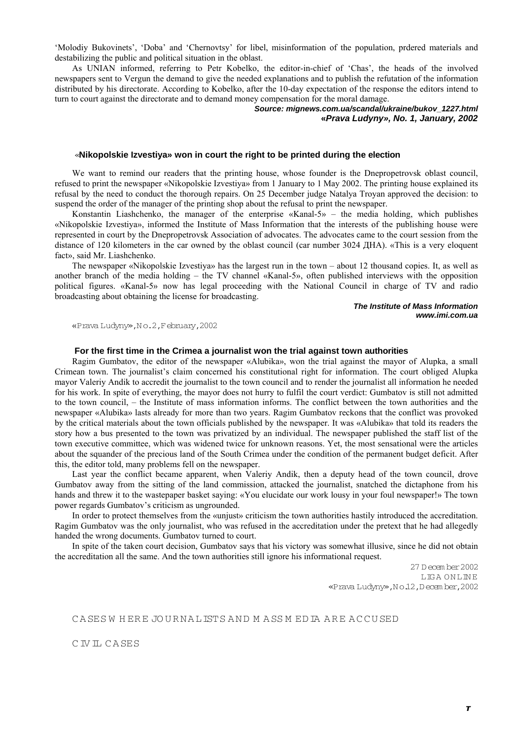'Molodiy Bukovinets', 'Doba' and 'Chernovtsy' for libel, misinformation of the population, prdered materials and destabilizing the public and political situation in the oblast.

As UNIAN informed, referring to Petr Kobelko, the editor-in-chief of 'Chas', the heads of the involved newspapers sent to Vergun the demand to give the needed explanations and to publish the refutation of the information distributed by his directorate. According to Kobelko, after the 10-day expectation of the response the editors intend to turn to court against the directorate and to demand money compensation for the moral damage.

> *Source: mignews.com.ua/scandal/ukraine/bukov\_1227.html*  **«***Prava Ludyny», No. 1, January, 2002*

#### «**Nikopolskie Izvestiya» won in court the right to be printed during the election**

We want to remind our readers that the printing house, whose founder is the Dnepropetrovsk oblast council, refused to print the newspaper «Nikopolskie Izvestiya» from 1 January to 1 May 2002. The printing house explained its refusal by the need to conduct the thorough repairs. On 25 December judge Natalya Troyan approved the decision: to suspend the order of the manager of the printing shop about the refusal to print the newspaper.

Konstantin Liashchenko, the manager of the enterprise «Kanal-5» – the media holding, which publishes «Nikopolskie Izvestiya», informed the Institute of Mass Information that the interests of the publishing house were represented in court by the Dnepropetrovsk Association of advocates. The advocates came to the court session from the distance of 120 kilometers in the car owned by the oblast council (car number 3024 ДНА). «This is a very eloquent fact», said Mr. Liashchenko.

The newspaper «Nikopolskie Izvestiya» has the largest run in the town – about 12 thousand copies. It, as well as another branch of the media holding – the TV channel «Kanal-5», often published interviews with the opposition political figures. «Kanal-5» now has legal proceeding with the National Council in charge of TV and radio broadcasting about obtaining the license for broadcasting.

> *The Institute of Mass Information www.imi.com.ua*

«Prava Ludyny»,N o.2,February,2002

# **For the first time in the Crimea a journalist won the trial against town authorities**

Ragim Gumbatov, the editor of the newspaper «Alubika», won the trial against the mayor of Alupka, a small Crimean town. The journalist's claim concerned his constitutional right for information. The court obliged Alupka mayor Valeriy Andik to accredit the journalist to the town council and to render the journalist all information he needed for his work. In spite of everything, the mayor does not hurry to fulfil the court verdict: Gumbatov is still not admitted to the town council, – the Institute of mass information informs. The conflict between the town authorities and the newspaper «Alubika» lasts already for more than two years. Ragim Gumbatov reckons that the conflict was provoked by the critical materials about the town officials published by the newspaper. It was «Alubika» that told its readers the story how a bus presented to the town was privatized by an individual. The newspaper published the staff list of the town executive committee, which was widened twice for unknown reasons. Yet, the most sensational were the articles about the squander of the precious land of the South Crimea under the condition of the permanent budget deficit. After this, the editor told, many problems fell on the newspaper.

Last year the conflict became apparent, when Valeriy Andik, then a deputy head of the town council, drove Gumbatov away from the sitting of the land commission, attacked the journalist, snatched the dictaphone from his hands and threw it to the wastepaper basket saying: «You elucidate our work lousy in your foul newspaper!» The town power regards Gumbatov's criticism as ungrounded.

In order to protect themselves from the «unjust» criticism the town authorities hastily introduced the accreditation. Ragim Gumbatov was the only journalist, who was refused in the accreditation under the pretext that he had allegedly handed the wrong documents. Gumbatov turned to court.

In spite of the taken court decision, Gumbatov says that his victory was somewhat illusive, since he did not obtain the accreditation all the same. And the town authorities still ignore his informational request.

> 27 D ecem ber 2002 LIG A O N LIN E «Prava Ludyny»,N o.12,D ecem ber,2002

# CA SES WHERE JOURNALISTS AND MASS MEDIA ARE ACCUSED

C IV IL C A SES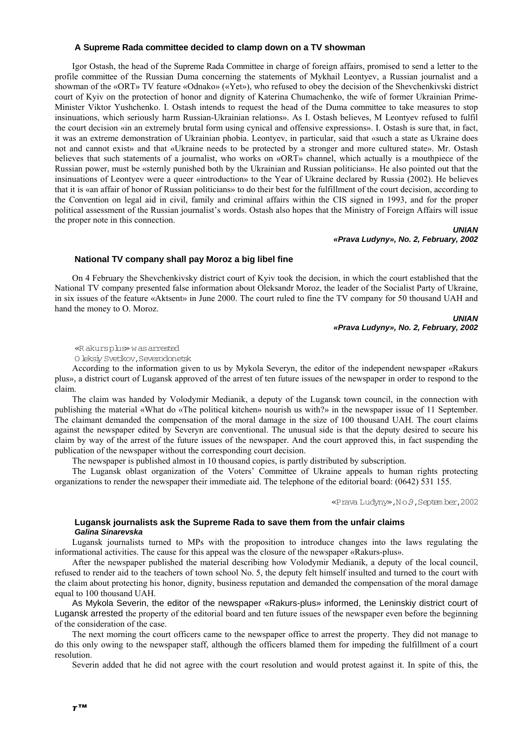# **A Supreme Rada committee decided to clamp down on a TV showman**

Igor Ostash, the head of the Supreme Rada Committee in charge of foreign affairs, promised to send a letter to the profile committee of the Russian Duma concerning the statements of Mykhail Leontyev, a Russian journalist and a showman of the «ORT» TV feature «Odnako» («Yet»), who refused to obey the decision of the Shevchenkivski district court of Kyiv on the protection of honor and dignity of Katerina Chumachenko, the wife of former Ukrainian Prime-Minister Viktor Yushchenko. I. Ostash intends to request the head of the Duma committee to take measures to stop insinuations, which seriously harm Russian-Ukrainian relations». As I. Ostash believes, M Leontyev refused to fulfil the court decision «in an extremely brutal form using cynical and offensive expressions». I. Ostash is sure that, in fact, it was an extreme demonstration of Ukrainian phobia. Leontyev, in particular, said that «such a state as Ukraine does not and cannot exist» and that «Ukraine needs to be protected by a stronger and more cultured state». Mr. Ostash believes that such statements of a journalist, who works on «ORT» channel, which actually is a mouthpiece of the Russian power, must be «sternly punished both by the Ukrainian and Russian politicians». He also pointed out that the insinuations of Leontyev were a queer «introduction» to the Year of Ukraine declared by Russia (2002). He believes that it is «an affair of honor of Russian politicians» to do their best for the fulfillment of the court decision, according to the Convention on legal aid in civil, family and criminal affairs within the CIS signed in 1993, and for the proper political assessment of the Russian journalist's words. Ostash also hopes that the Ministry of Foreign Affairs will issue the proper note in this connection.

> *UNIAN «Prava Ludyny», No. 2, February, 2002*

# **National TV company shall pay Moroz a big libel fine**

On 4 February the Shevchenkivsky district court of Kyiv took the decision, in which the court established that the National TV company presented false information about Oleksandr Moroz, the leader of the Socialist Party of Ukraine, in six issues of the feature «Aktsent» in June 2000. The court ruled to fine the TV company for 50 thousand UAH and hand the money to O. Moroz.

> *UNIAN «Prava Ludyny», No. 2, February, 2002*

«R akurs plus» w as arrested

O leksiy Svetikov,Severodonetsk

According to the information given to us by Mykola Severyn, the editor of the independent newspaper «Rakurs plus», a district court of Lugansk approved of the arrest of ten future issues of the newspaper in order to respond to the claim.

The claim was handed by Volodymir Medianik, a deputy of the Lugansk town council, in the connection with publishing the material «What do «The political kitchen» nourish us with?» in the newspaper issue of 11 September. The claimant demanded the compensation of the moral damage in the size of 100 thousand UAH. The court claims against the newspaper edited by Severyn are conventional. The unusual side is that the deputy desired to secure his claim by way of the arrest of the future issues of the newspaper. And the court approved this, in fact suspending the publication of the newspaper without the corresponding court decision.

The newspaper is published almost in 10 thousand copies, is partly distributed by subscription.

The Lugansk oblast organization of the Voters' Committee of Ukraine appeals to human rights protecting organizations to render the newspaper their immediate aid. The telephone of the editorial board: (0642) 531 155.

«Prava Ludyny»,N o.9,Septem ber,2002

# **Lugansk journalists ask the Supreme Rada to save them from the unfair claims**  *Galina Sinarevska*

Lugansk journalists turned to MPs with the proposition to introduce changes into the laws regulating the informational activities. The cause for this appeal was the closure of the newspaper «Rakurs-plus».

After the newspaper published the material describing how Volodymir Medianik, a deputy of the local council, refused to render aid to the teachers of town school No. 5, the deputy felt himself insulted and turned to the court with the claim about protecting his honor, dignity, business reputation and demanded the compensation of the moral damage equal to 100 thousand UAH.

As Mykola Severin, the editor of the newspaper «Rakurs-plus» informed, the Leninskiy district court of Lugansk arrested the property of the editorial board and ten future issues of the newspaper even before the beginning of the consideration of the case.

The next morning the court officers came to the newspaper office to arrest the property. They did not manage to do this only owing to the newspaper staff, although the officers blamed them for impeding the fulfillment of a court resolution.

Severin added that he did not agree with the court resolution and would protest against it. In spite of this, the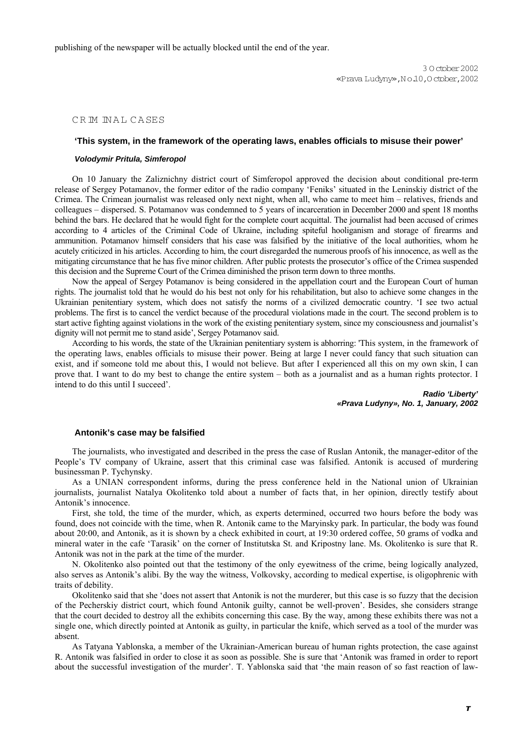publishing of the newspaper will be actually blocked until the end of the year.

### CRM NAL CASES

# **'This system, in the framework of the operating laws, enables officials to misuse their power'**

#### *Volodymir Pritula, Simferopol*

On 10 January the Zaliznichny district court of Simferopol approved the decision about conditional pre-term release of Sergey Potamanov, the former editor of the radio company 'Feniks' situated in the Leninskiy district of the Crimea. The Crimean journalist was released only next night, when all, who came to meet him – relatives, friends and colleagues – dispersed. S. Potamanov was condemned to 5 years of incarceration in December 2000 and spent 18 months behind the bars. He declared that he would fight for the complete court acquittal. The journalist had been accused of crimes according to 4 articles of the Criminal Code of Ukraine, including spiteful hooliganism and storage of firearms and ammunition. Potamanov himself considers that his case was falsified by the initiative of the local authorities, whom he acutely criticized in his articles. According to him, the court disregarded the numerous proofs of his innocence, as well as the mitigating circumstance that he has five minor children. After public protests the prosecutor's office of the Crimea suspended this decision and the Supreme Court of the Crimea diminished the prison term down to three months.

Now the appeal of Sergey Potamanov is being considered in the appellation court and the European Court of human rights. The journalist told that he would do his best not only for his rehabilitation, but also to achieve some changes in the Ukrainian penitentiary system, which does not satisfy the norms of a civilized democratic country. 'I see two actual problems. The first is to cancel the verdict because of the procedural violations made in the court. The second problem is to start active fighting against violations in the work of the existing penitentiary system, since my consciousness and journalist's dignity will not permit me to stand aside', Sergey Potamanov said.

According to his words, the state of the Ukrainian penitentiary system is abhorring: 'This system, in the framework of the operating laws, enables officials to misuse their power. Being at large I never could fancy that such situation can exist, and if someone told me about this, I would not believe. But after I experienced all this on my own skin, I can prove that. I want to do my best to change the entire system – both as a journalist and as a human rights protector. I intend to do this until I succeed'.

> *Radio 'Liberty' «Prava Ludyny», No. 1, January, 2002*

#### **Antonik's case may be falsified**

The journalists, who investigated and described in the press the case of Ruslan Antonik, the manager-editor of the People's TV company of Ukraine, assert that this criminal case was falsified. Antonik is accused of murdering businessman P. Tychynsky.

As a UNIAN correspondent informs, during the press conference held in the National union of Ukrainian journalists, journalist Natalya Okolitenko told about a number of facts that, in her opinion, directly testify about Antonik's innocence.

First, she told, the time of the murder, which, as experts determined, occurred two hours before the body was found, does not coincide with the time, when R. Antonik came to the Maryinsky park. In particular, the body was found about 20:00, and Antonik, as it is shown by a check exhibited in court, at 19:30 ordered coffee, 50 grams of vodka and mineral water in the cafe 'Tarasik' on the corner of Institutska St. and Kripostny lane. Ms. Okolitenko is sure that R. Antonik was not in the park at the time of the murder.

N. Okolitenko also pointed out that the testimony of the only eyewitness of the crime, being logically analyzed, also serves as Antonik's alibi. By the way the witness, Volkovsky, according to medical expertise, is oligophrenic with traits of debility.

Okolitenko said that she 'does not assert that Antonik is not the murderer, but this case is so fuzzy that the decision of the Pecherskiy district court, which found Antonik guilty, cannot be well-proven'. Besides, she considers strange that the court decided to destroy all the exhibits concerning this case. By the way, among these exhibits there was not a single one, which directly pointed at Antonik as guilty, in particular the knife, which served as a tool of the murder was absent.

As Tatyana Yablonska, a member of the Ukrainian-American bureau of human rights protection, the case against R. Antonik was falsified in order to close it as soon as possible. She is sure that 'Antonik was framed in order to report about the successful investigation of the murder'. T. Yablonska said that 'the main reason of so fast reaction of law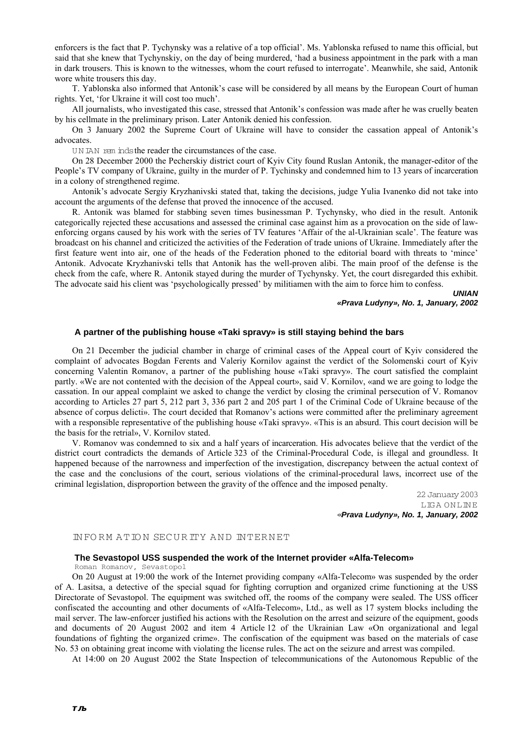enforcers is the fact that P. Tychynsky was a relative of a top official'. Ms. Yablonska refused to name this official, but said that she knew that Tychynskiy, on the day of being murdered, 'had a business appointment in the park with a man in dark trousers. This is known to the witnesses, whom the court refused to interrogate'. Meanwhile, she said, Antonik wore white trousers this day.

T. Yablonska also informed that Antonik's case will be considered by all means by the European Court of human rights. Yet, 'for Ukraine it will cost too much'.

All journalists, who investigated this case, stressed that Antonik's confession was made after he was cruelly beaten by his cellmate in the preliminary prison. Later Antonik denied his confession.

On 3 January 2002 the Supreme Court of Ukraine will have to consider the cassation appeal of Antonik's advocates.

UN IAN rem inds the reader the circumstances of the case.

On 28 December 2000 the Pecherskiy district court of Kyiv City found Ruslan Antonik, the manager-editor of the People's TV company of Ukraine, guilty in the murder of P. Tychinsky and condemned him to 13 years of incarceration in a colony of strengthened regime.

Antonik's advocate Sergiy Kryzhanivski stated that, taking the decisions, judge Yulia Ivanenko did not take into account the arguments of the defense that proved the innocence of the accused.

R. Antonik was blamed for stabbing seven times businessman P. Tychynsky, who died in the result. Antonik categorically rejected these accusations and assessed the criminal case against him as a provocation on the side of lawenforcing organs caused by his work with the series of TV features 'Affair of the al-Ukrainian scale'. The feature was broadcast on his channel and criticized the activities of the Federation of trade unions of Ukraine. Immediately after the first feature went into air, one of the heads of the Federation phoned to the editorial board with threats to 'mince' Antonik. Advocate Kryzhanivski tells that Antonik has the well-proven alibi. The main proof of the defense is the check from the cafe, where R. Antonik stayed during the murder of Tychynsky. Yet, the court disregarded this exhibit. The advocate said his client was 'psychologically pressed' by militiamen with the aim to force him to confess.

*UNIAN «Prava Ludyny», No. 1, January, 2002* 

# **A partner of the publishing house «Taki spravy» is still staying behind the bars**

On 21 December the judicial chamber in charge of criminal cases of the Appeal court of Kyiv considered the complaint of advocates Bogdan Ferents and Valeriy Kornilov against the verdict of the Solomenski court of Kyiv concerning Valentin Romanov, a partner of the publishing house «Taki spravy». The court satisfied the complaint partly. «We are not contented with the decision of the Appeal court», said V. Kornilov, «and we are going to lodge the cassation. In our appeal complaint we asked to change the verdict by closing the criminal persecution of V. Romanov according to Articles 27 part 5, 212 part 3, 336 part 2 and 205 part 1 of the Criminal Code of Ukraine because of the absence of corpus delicti». The court decided that Romanov's actions were committed after the preliminary agreement with a responsible representative of the publishing house «Taki spravy». «This is an absurd. This court decision will be the basis for the retrial», V. Kornilov stated.

V. Romanov was condemned to six and a half years of incarceration. His advocates believe that the verdict of the district court contradicts the demands of Article 323 of the Criminal-Procedural Code, is illegal and groundless. It happened because of the narrowness and imperfection of the investigation, discrepancy between the actual context of the case and the conclusions of the court, serious violations of the criminal-procedural laws, incorrect use of the criminal legislation, disproportion between the gravity of the offence and the imposed penalty.

> 22 January 2003 LIG A O N LIN E «*Prava Ludyny», No. 1, January, 2002*

#### INFORM ATION SECURITY AND INTERNET

# **The Sevastopol USS suspended the work of the Internet provider «Alfa-Telecom»**

Roman Romanov, Sevastopol

On 20 August at 19:00 the work of the Internet providing company «Alfa-Telecom» was suspended by the order of A. Lasitsa, a detective of the special squad for fighting corruption and organized crime functioning at the USS Directorate of Sevastopol. The equipment was switched off, the rooms of the company were sealed. The USS officer confiscated the accounting and other documents of «Alfa-Telecom», Ltd., as well as 17 system blocks including the mail server. The law-enforcer justified his actions with the Resolution on the arrest and seizure of the equipment, goods and documents of 20 August 2002 and item 4 Article 12 of the Ukrainian Law «On organizational and legal foundations of fighting the organized crime». The confiscation of the equipment was based on the materials of case No. 53 on obtaining great income with violating the license rules. The act on the seizure and arrest was compiled.

At 14:00 on 20 August 2002 the State Inspection of telecommunications of the Autonomous Republic of the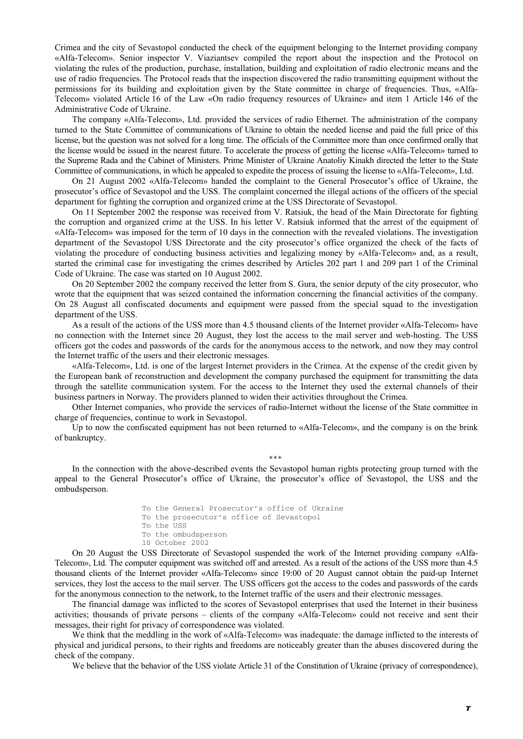Crimea and the city of Sevastopol conducted the check of the equipment belonging to the Internet providing company «Alfa-Telecom». Senior inspector V. Viaziantsev compiled the report about the inspection and the Protocol on violating the rules of the production, purchase, installation, building and exploitation of radio electronic means and the use of radio frequencies. The Protocol reads that the inspection discovered the radio transmitting equipment without the permissions for its building and exploitation given by the State committee in charge of frequencies. Thus, «Alfa-Telecom» violated Article 16 of the Law «On radio frequency resources of Ukraine» and item 1 Article 146 of the Administrative Code of Ukraine.

The company «Alfa-Telecom», Ltd. provided the services of radio Ethernet. The administration of the company turned to the State Committee of communications of Ukraine to obtain the needed license and paid the full price of this license, but the question was not solved for a long time. The officials of the Committee more than once confirmed orally that the license would be issued in the nearest future. To accelerate the process of getting the license «Alfa-Telecom» turned to the Supreme Rada and the Cabinet of Ministers. Prime Minister of Ukraine Anatoliy Kinakh directed the letter to the State Committee of communications, in which he appealed to expedite the process of issuing the license to «Alfa-Telecom», Ltd.

On 21 August 2002 «Alfa-Telecom» handed the complaint to the General Prosecutor's office of Ukraine, the prosecutor's office of Sevastopol and the USS. The complaint concerned the illegal actions of the officers of the special department for fighting the corruption and organized crime at the USS Directorate of Sevastopol.

On 11 September 2002 the response was received from V. Ratsiuk, the head of the Main Directorate for fighting the corruption and organized crime at the USS. In his letter V. Ratsiuk informed that the arrest of the equipment of «Alfa-Telecom» was imposed for the term of 10 days in the connection with the revealed violations. The investigation department of the Sevastopol USS Directorate and the city prosecutor's office organized the check of the facts of violating the procedure of conducting business activities and legalizing money by «Alfa-Telecom» and, as a result, started the criminal case for investigating the crimes described by Articles 202 part 1 and 209 part 1 of the Criminal Code of Ukraine. The case was started on 10 August 2002.

On 20 September 2002 the company received the letter from S. Gura, the senior deputy of the city prosecutor, who wrote that the equipment that was seized contained the information concerning the financial activities of the company. On 28 August all confiscated documents and equipment were passed from the special squad to the investigation department of the USS.

As a result of the actions of the USS more than 4.5 thousand clients of the Internet provider «Alfa-Telecom» have no connection with the Internet since 20 August, they lost the access to the mail server and web-hosting. The USS officers got the codes and passwords of the cards for the anonymous access to the network, and now they may control the Internet traffic of the users and their electronic messages.

«Alfa-Telecom», Ltd. is one of the largest Internet providers in the Crimea. At the expense of the credit given by the European bank of reconstruction and development the company purchased the equipment for transmitting the data through the satellite communication system. For the access to the Internet they used the external channels of their business partners in Norway. The providers planned to widen their activities throughout the Crimea.

Other Internet companies, who provide the services of radio-Internet without the license of the State committee in charge of frequencies, continue to work in Sevastopol.

Up to now the confiscated equipment has not been returned to «Alfa-Telecom», and the company is on the brink of bankruptcy.

In the connection with the above-described events the Sevastopol human rights protecting group turned with the appeal to the General Prosecutor's office of Ukraine, the prosecutor's office of Sevastopol, the USS and the ombudsperson.

\*\*\*

To the General Prosecutor's office of Ukraine To the prosecutor's office of Sevastopol To the USS To the ombudsperson 10 October 2002

On 20 August the USS Directorate of Sevastopol suspended the work of the Internet providing company «Alfa-Telecom», Ltd. The computer equipment was switched off and arrested. As a result of the actions of the USS more than 4.5 thousand clients of the Internet provider «Alfa-Telecom» since 19:00 of 20 August cannot obtain the paid-up Internet services, they lost the access to the mail server. The USS officers got the access to the codes and passwords of the cards for the anonymous connection to the network, to the Internet traffic of the users and their electronic messages.

The financial damage was inflicted to the scores of Sevastopol enterprises that used the Internet in their business activities; thousands of private persons – clients of the company «Alfa-Telecom» could not receive and sent their messages, their right for privacy of correspondence was violated.

We think that the meddling in the work of «Alfa-Telecom» was inadequate: the damage inflicted to the interests of physical and juridical persons, to their rights and freedoms are noticeably greater than the abuses discovered during the check of the company.

We believe that the behavior of the USS violate Article 31 of the Constitution of Ukraine (privacy of correspondence),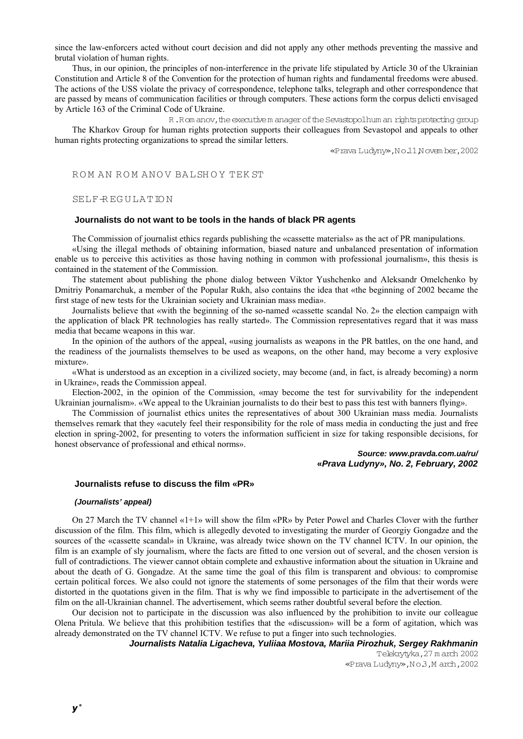since the law-enforcers acted without court decision and did not apply any other methods preventing the massive and brutal violation of human rights.

Thus, in our opinion, the principles of non-interference in the private life stipulated by Article 30 of the Ukrainian Constitution and Article 8 of the Convention for the protection of human rights and fundamental freedoms were abused. The actions of the USS violate the privacy of correspondence, telephone talks, telegraph and other correspondence that are passed by means of communication facilities or through computers. These actions form the corpus delicti envisaged by Article 163 of the Criminal Code of Ukraine.

R.Rom anov, the executive m anager of the Sevastopolhum an rights protecting group The Kharkov Group for human rights protection supports their colleagues from Sevastopol and appeals to other human rights protecting organizations to spread the similar letters.

«Prava Ludyny»,N o.11,N ovem ber,2002

### ROM AN ROM ANOV BALSHOY TEKST

### SELF-R EG U LA TIO N

### **Journalists do not want to be tools in the hands of black PR agents**

The Commission of journalist ethics regards publishing the «cassette materials» as the act of PR manipulations.

«Using the illegal methods of obtaining information, biased nature and unbalanced presentation of information enable us to perceive this activities as those having nothing in common with professional journalism», this thesis is contained in the statement of the Commission.

The statement about publishing the phone dialog between Viktor Yushchenko and Aleksandr Omelchenko by Dmitriy Ponamarchuk, a member of the Popular Rukh, also contains the idea that «the beginning of 2002 became the first stage of new tests for the Ukrainian society and Ukrainian mass media».

Journalists believe that «with the beginning of the so-named «cassette scandal No. 2» the election campaign with the application of black PR technologies has really started». The Commission representatives regard that it was mass media that became weapons in this war.

In the opinion of the authors of the appeal, «using journalists as weapons in the PR battles, on the one hand, and the readiness of the journalists themselves to be used as weapons, on the other hand, may become a very explosive mixture».

«What is understood as an exception in a civilized society, may become (and, in fact, is already becoming) a norm in Ukraine», reads the Commission appeal.

Election-2002, in the opinion of the Commission, «may become the test for survivability for the independent Ukrainian journalism». «We appeal to the Ukrainian journalists to do their best to pass this test with banners flying».

The Commission of journalist ethics unites the representatives of about 300 Ukrainian mass media. Journalists themselves remark that they «acutely feel their responsibility for the role of mass media in conducting the just and free election in spring-2002, for presenting to voters the information sufficient in size for taking responsible decisions, for honest observance of professional and ethical norms».

#### *Source: www.pravda.com.ua/ru/*  **«***Prava Ludyny», No. 2, February, 2002*

### **Journalists refuse to discuss the film «PR»**

#### *(Journalists' appeal)*

On 27 March the TV channel «1+1» will show the film «PR» by Peter Powel and Charles Clover with the further discussion of the film. This film, which is allegedly devoted to investigating the murder of Georgiy Gongadze and the sources of the «cassette scandal» in Ukraine, was already twice shown on the TV channel ICTV. In our opinion, the film is an example of sly journalism, where the facts are fitted to one version out of several, and the chosen version is full of contradictions. The viewer cannot obtain complete and exhaustive information about the situation in Ukraine and about the death of G. Gongadze. At the same time the goal of this film is transparent and obvious: to compromise certain political forces. We also could not ignore the statements of some personages of the film that their words were distorted in the quotations given in the film. That is why we find impossible to participate in the advertisement of the film on the all-Ukrainian channel. The advertisement, which seems rather doubtful several before the election.

Our decision not to participate in the discussion was also influenced by the prohibition to invite our colleague Olena Pritula. We believe that this prohibition testifies that the «discussion» will be a form of agitation, which was already demonstrated on the TV channel ICTV. We refuse to put a finger into such technologies.

# *Journalists Natalia Ligacheva, Yuliiaa Mostova, Mariia Pirozhuk, Sergey Rakhmanin*

Telekrytyka,27 m arch 2002 «Prava Ludyny»,N o.3,M arch,2002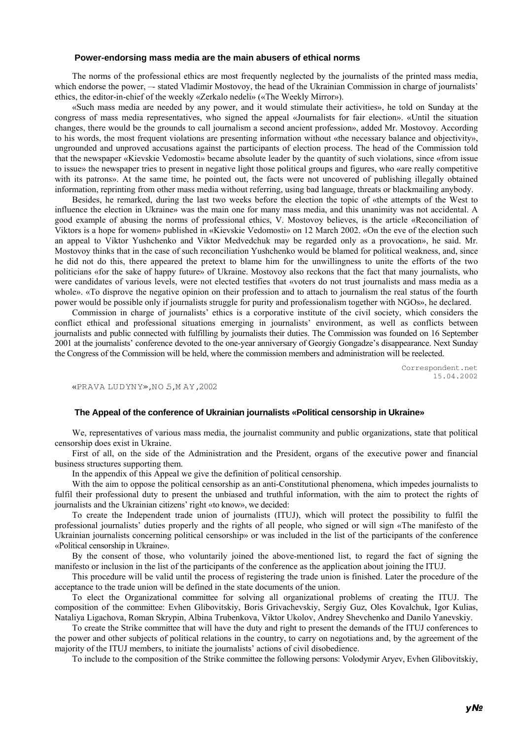#### **Power-endorsing mass media are the main abusers of ethical norms**

The norms of the professional ethics are most frequently neglected by the journalists of the printed mass media, which endorse the power, — stated Vladimir Mostovoy, the head of the Ukrainian Commission in charge of journalists' ethics, the editor-in-chief of the weekly «Zerkalo nedeli» («The Weekly Mirror»).

«Such mass media are needed by any power, and it would stimulate their activities», he told on Sunday at the congress of mass media representatives, who signed the appeal «Journalists for fair election». «Until the situation changes, there would be the grounds to call journalism a second ancient profession», added Mr. Mostovoy. According to his words, the most frequent violations are presenting information without «the necessary balance and objectivity», ungrounded and unproved accusations against the participants of election process. The head of the Commission told that the newspaper «Kievskie Vedomosti» became absolute leader by the quantity of such violations, since «from issue to issue» the newspaper tries to present in negative light those political groups and figures, who «are really competitive with its patrons». At the same time, he pointed out, the facts were not uncovered of publishing illegally obtained information, reprinting from other mass media without referring, using bad language, threats or blackmailing anybody.

Besides, he remarked, during the last two weeks before the election the topic of «the attempts of the West to influence the election in Ukraine» was the main one for many mass media, and this unanimity was not accidental. A good example of abusing the norms of professional ethics, V. Mostovoy believes, is the article «Reconciliation of Viktors is a hope for women» published in «Kievskie Vedomosti» on 12 March 2002. «On the eve of the election such an appeal to Viktor Yushchenko and Viktor Medvedchuk may be regarded only as a provocation», he said. Mr. Mostovoy thinks that in the case of such reconciliation Yushchenko would be blamed for political weakness, and, since he did not do this, there appeared the pretext to blame him for the unwillingness to unite the efforts of the two politicians «for the sake of happy future» of Ukraine. Mostovoy also reckons that the fact that many journalists, who were candidates of various levels, were not elected testifies that «voters do not trust journalists and mass media as a whole». «To disprove the negative opinion on their profession and to attach to journalism the real status of the fourth power would be possible only if journalists struggle for purity and professionalism together with NGOs», he declared.

Commission in charge of journalists' ethics is a corporative institute of the civil society, which considers the conflict ethical and professional situations emerging in journalists' environment, as well as conflicts between journalists and public connected with fulfilling by journalists their duties. The Commission was founded on 16 September 2001 at the journalists' conference devoted to the one-year anniversary of Georgiy Gongadze's disappearance. Next Sunday the Congress of the Commission will be held, where the commission members and administration will be reelected.

> Correspondent.net 15.04.2002

«PRAVA LU D YN Y»,NO.5,M AY,2002

#### **The Appeal of the conference of Ukrainian journalists «Political censorship in Ukraine»**

We, representatives of various mass media, the journalist community and public organizations, state that political censorship does exist in Ukraine.

First of all, on the side of the Administration and the President, organs of the executive power and financial business structures supporting them.

In the appendix of this Appeal we give the definition of political censorship.

With the aim to oppose the political censorship as an anti-Constitutional phenomena, which impedes journalists to fulfil their professional duty to present the unbiased and truthful information, with the aim to protect the rights of journalists and the Ukrainian citizens' right «to know», we decided:

To create the Independent trade union of journalists (ITUJ), which will protect the possibility to fulfil the professional journalists' duties properly and the rights of all people, who signed or will sign «The manifesto of the Ukrainian journalists concerning political censorship» or was included in the list of the participants of the conference «Political censorship in Ukraine».

By the consent of those, who voluntarily joined the above-mentioned list, to regard the fact of signing the manifesto or inclusion in the list of the participants of the conference as the application about joining the ITUJ.

This procedure will be valid until the process of registering the trade union is finished. Later the procedure of the acceptance to the trade union will be defined in the state documents of the union.

To elect the Organizational committee for solving all organizational problems of creating the ITUJ. The composition of the committee: Evhen Glibovitskiy, Boris Grivachevskiy, Sergiy Guz, Oles Kovalchuk, Igor Kulias, Nataliya Ligachova, Roman Skrypin, Albina Trubenkova, Viktor Ukolov, Andrey Shevchenko and Danilo Yanevskiy.

To create the Strike committee that will have the duty and right to present the demands of the ITUJ conferences to the power and other subjects of political relations in the country, to carry on negotiations and, by the agreement of the majority of the ITUJ members, to initiate the journalists' actions of civil disobedience.

To include to the composition of the Strike committee the following persons: Volodymir Aryev, Evhen Glibovitskiy,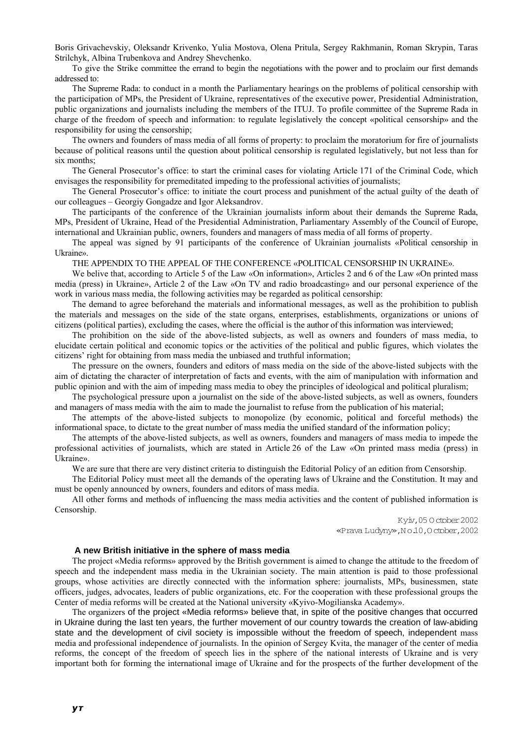Boris Grivachevskiy, Oleksandr Krivenko, Yulia Mostova, Olena Pritula, Sergey Rakhmanin, Roman Skrypin, Taras Strilchyk, Albina Trubenkova and Andrey Shevchenko.

To give the Strike committee the errand to begin the negotiations with the power and to proclaim our first demands addressed to:

The Supreme Rada: to conduct in a month the Parliamentary hearings on the problems of political censorship with the participation of MPs, the President of Ukraine, representatives of the executive power, Presidential Administration, public organizations and journalists including the members of the ITUJ. To profile committee of the Supreme Rada in charge of the freedom of speech and information: to regulate legislatively the concept «political censorship» and the responsibility for using the censorship;

The owners and founders of mass media of all forms of property: to proclaim the moratorium for fire of journalists because of political reasons until the question about political censorship is regulated legislatively, but not less than for six months:

The General Prosecutor's office: to start the criminal cases for violating Article 171 of the Criminal Code, which envisages the responsibility for premeditated impeding to the professional activities of journalists;

The General Prosecutor's office: to initiate the court process and punishment of the actual guilty of the death of our colleagues – Georgiy Gongadze and Igor Aleksandrov.

The participants of the conference of the Ukrainian journalists inform about their demands the Supreme Rada, MPs, President of Ukraine, Head of the Presidential Administration, Parliamentary Assembly of the Council of Europe, international and Ukrainian public, owners, founders and managers of mass media of all forms of property.

The appeal was signed by 91 participants of the conference of Ukrainian journalists «Political censorship in Ukraine».

THE APPENDIX TO THE APPEAL OF THE CONFERENCE «POLITICAL CENSORSHIP IN UKRAINE».

We belive that, according to Article 5 of the Law «On information», Articles 2 and 6 of the Law «On printed mass media (press) in Ukraine», Article 2 of the Law «On TV and radio broadcasting» and our personal experience of the work in various mass media, the following activities may be regarded as political censorship:

The demand to agree beforehand the materials and informational messages, as well as the prohibition to publish the materials and messages on the side of the state organs, enterprises, establishments, organizations or unions of citizens (political parties), excluding the cases, where the official is the author of this information was interviewed;

The prohibition on the side of the above-listed subjects, as well as owners and founders of mass media, to elucidate certain political and economic topics or the activities of the political and public figures, which violates the citizens' right for obtaining from mass media the unbiased and truthful information;

The pressure on the owners, founders and editors of mass media on the side of the above-listed subjects with the aim of dictating the character of interpretation of facts and events, with the aim of manipulation with information and public opinion and with the aim of impeding mass media to obey the principles of ideological and political pluralism;

The psychological pressure upon a journalist on the side of the above-listed subjects, as well as owners, founders and managers of mass media with the aim to made the journalist to refuse from the publication of his material;

The attempts of the above-listed subjects to monopolize (by economic, political and forceful methods) the informational space, to dictate to the great number of mass media the unified standard of the information policy;

The attempts of the above-listed subjects, as well as owners, founders and managers of mass media to impede the professional activities of journalists, which are stated in Article 26 of the Law «On printed mass media (press) in Ukraine».

We are sure that there are very distinct criteria to distinguish the Editorial Policy of an edition from Censorship.

The Editorial Policy must meet all the demands of the operating laws of Ukraine and the Constitution. It may and must be openly announced by owners, founders and editors of mass media.

All other forms and methods of influencing the mass media activities and the content of published information is Censorship.

> Kyiv,05 O ctober 2002 «Prava Ludyny»,N o.10,O ctober,2002

#### **A new British initiative in the sphere of mass media**

The project «Media reforms» approved by the British government is aimed to change the attitude to the freedom of speech and the independent mass media in the Ukrainian society. The main attention is paid to those professional groups, whose activities are directly connected with the information sphere: journalists, MPs, businessmen, state officers, judges, advocates, leaders of public organizations, etc. For the cooperation with these professional groups the Center of media reforms will be created at the National university «Kyivo-Mogilianska Academy».

The organizers of the project «Media reforms» believe that, in spite of the positive changes that occurred in Ukraine during the last ten years, the further movement of our country towards the creation of law-abiding state and the development of civil society is impossible without the freedom of speech, independent mass media and professional independence of journalists. In the opinion of Sergey Kvita, the manager of the center of media reforms, the concept of the freedom of speech lies in the sphere of the national interests of Ukraine and is very important both for forming the international image of Ukraine and for the prospects of the further development of the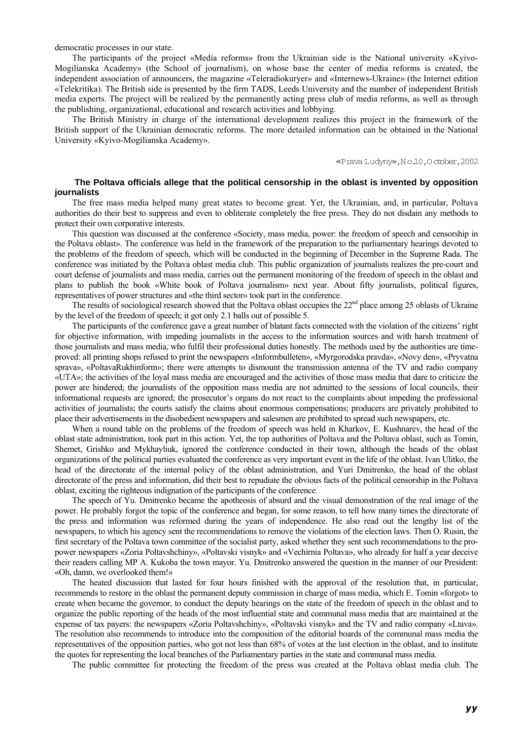democratic processes in our state.

The participants of the project «Media reforms» from the Ukrainian side is the National university «Kyivo-Mogilianska Academy» (the School of journalism), on whose base the center of media reforms is created, the independent association of announcers, the magazine «Teleradiokuryer» and «Internews-Ukraine» (the Internet edition «Telekritika). The British side is presented by the firm TADS, Leeds University and the number of independent British media experts. The project will be realized by the permanently acting press club of media reforms, as well as through the publishing, organizational, educational and research activities and lobbying.

The British Ministry in charge of the international development realizes this project in the framework of the British support of the Ukrainian democratic reforms. The more detailed information can be obtained in the National University «Kyivo-Mogilianska Academy».

«Prava Ludyny»,N o.10,O ctober,2002

# **The Poltava officials allege that the political censorship in the oblast is invented by opposition journalists**

The free mass media helped many great states to become great. Yet, the Ukrainian, and, in particular, Poltava authorities do their best to suppress and even to obliterate completely the free press. They do not disdain any methods to protect their own corporative interests.

This question was discussed at the conference «Society, mass media, power: the freedom of speech and censorship in the Poltava oblast». The conference was held in the framework of the preparation to the parliamentary hearings devoted to the problems of the freedom of speech, which will be conducted in the beginning of December in the Supreme Rada. The conference was initiated by the Poltava oblast media club. This public organization of journalists realizes the pre-court and court defense of journalists and mass media, carries out the permanent monitoring of the freedom of speech in the oblast and plans to publish the book «White book of Poltava journalism» next year. About fifty journalists, political figures, representatives of power structures and «the third sector» took part in the conference.

The results of sociological research showed that the Poltava oblast occupies the  $22<sup>nd</sup>$  place among 25 oblasts of Ukraine by the level of the freedom of speech; it got only 2.1 balls out of possible 5.

The participants of the conference gave a great number of blatant facts connected with the violation of the citizens' right for objective information, with impeding journalists in the access to the information sources and with harsh treatment of those journalists and mass media, who fulfil their professional duties honestly. The methods used by the authorities are timeproved: all printing shops refused to print the newspapers «Informbulleten», «Myrgorodska pravda», «Novy den», «Pryvatna sprava», «PoltavaRukhinform»; there were attempts to dismount the transmission antenna of the TV and radio company «UTA»; the activities of the loyal mass media are encouraged and the activities of those mass media that dare to criticize the power are hindered; the journalists of the opposition mass media are not admitted to the sessions of local councils, their informational requests are ignored; the prosecutor's organs do not react to the complaints about impeding the professional activities of journalists; the courts satisfy the claims about enormous compensations; producers are privately prohibited to place their advertisements in the disobedient newspapers and salesmen are prohibited to spread such newspapers, etc.

When a round table on the problems of the freedom of speech was held in Kharkov, E. Kushnarev, the head of the oblast state administration, took part in this action. Yet, the top authorities of Poltava and the Poltava oblast, such as Tomin, Shemet, Grishko and Mykhayliuk, ignored the conference conducted in their town, although the heads of the oblast organizations of the political parties evaluated the conference as very important event in the life of the oblast. Ivan Ulitko, the head of the directorate of the internal policy of the oblast administration, and Yuri Dmitrenko, the head of the oblast directorate of the press and information, did their best to repudiate the obvious facts of the political censorship in the Poltava oblast, exciting the righteous indignation of the participants of the conference.

The speech of Yu. Dmitrenko became the apotheosis of absurd and the visual demonstration of the real image of the power. He probably forgot the topic of the conference and began, for some reason, to tell how many times the directorate of the press and information was reformed during the years of independence. He also read out the lengthy list of the newspapers, to which his agency sent the recommendations to remove the violations of the election laws. Then O. Rusin, the first secretary of the Poltava town committee of the socialist party, asked whether they sent such recommendations to the propower newspapers «Zoria Poltavshchiny», «Poltavski visnyk» and «Vechirnia Poltava», who already for half a year deceive their readers calling MP A. Kukoba the town mayor. Yu. Dmitrenko answered the question in the manner of our President: «Oh, damn, we overlooked them!»

The heated discussion that lasted for four hours finished with the approval of the resolution that, in particular, recommends to restore in the oblast the permanent deputy commission in charge of mass media, which E. Tomin «forgot» to create when became the governor, to conduct the deputy hearings on the state of the freedom of speech in the oblast and to organize the public reporting of the heads of the most influential state and communal mass media that are maintained at the expense of tax payers: the newspapers «Zoria Poltavshchiny», «Poltavski visnyk» and the TV and radio company «Ltava». The resolution also recommends to introduce into the composition of the editorial boards of the communal mass media the representatives of the opposition parties, who got not less than 68% of votes at the last election in the oblast, and to institute the quotes for representing the local branches of the Parliamentary parties in the state and communal mass media.

The public committee for protecting the freedom of the press was created at the Poltava oblast media club. The